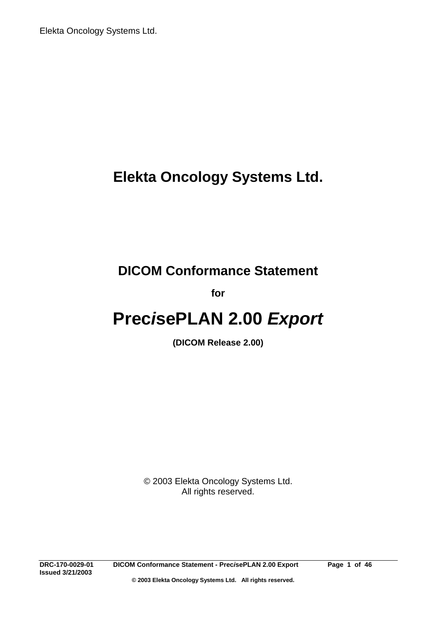# **Elekta Oncology Systems Ltd.**

# **DICOM Conformance Statement**

**for**

# **Prec***i***sePLAN 2.00** *Export*

**(DICOM Release 2.00)**

© 2003 Elekta Oncology Systems Ltd. All rights reserved.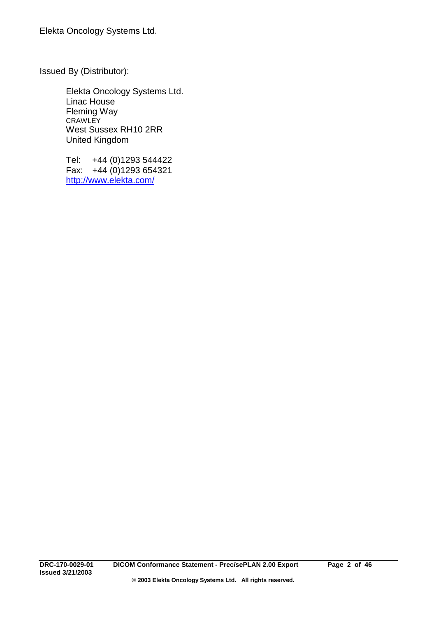Issued By (Distributor):

Elekta Oncology Systems Ltd. Linac House Fleming Way CRAWLEY West Sussex RH10 2RR United Kingdom

Tel: +44 (0)1293 544422 Fax: +44 (0)1293 654321 http://www.elekta.com/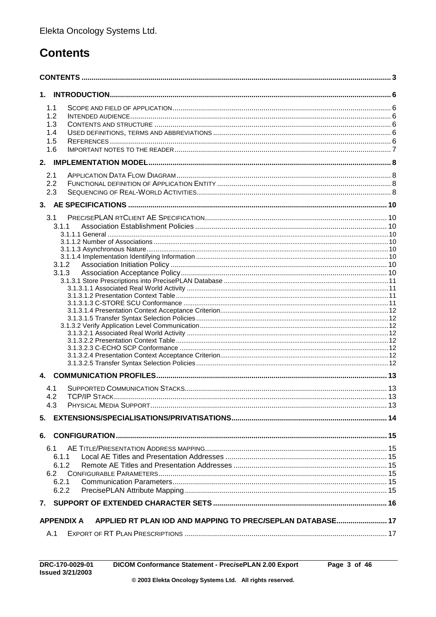# **Contents**

| 1.                                                                              |  |  |  |  |
|---------------------------------------------------------------------------------|--|--|--|--|
| 1.1                                                                             |  |  |  |  |
| 1.2                                                                             |  |  |  |  |
| 1.3                                                                             |  |  |  |  |
| 1.4                                                                             |  |  |  |  |
| 1.5                                                                             |  |  |  |  |
| 1.6                                                                             |  |  |  |  |
|                                                                                 |  |  |  |  |
| 2.1                                                                             |  |  |  |  |
| 2.2                                                                             |  |  |  |  |
| 2.3                                                                             |  |  |  |  |
|                                                                                 |  |  |  |  |
| 3.1                                                                             |  |  |  |  |
| 3.1.1                                                                           |  |  |  |  |
|                                                                                 |  |  |  |  |
|                                                                                 |  |  |  |  |
|                                                                                 |  |  |  |  |
| 3.1.2                                                                           |  |  |  |  |
| 3.1.3                                                                           |  |  |  |  |
|                                                                                 |  |  |  |  |
|                                                                                 |  |  |  |  |
|                                                                                 |  |  |  |  |
|                                                                                 |  |  |  |  |
|                                                                                 |  |  |  |  |
|                                                                                 |  |  |  |  |
|                                                                                 |  |  |  |  |
|                                                                                 |  |  |  |  |
|                                                                                 |  |  |  |  |
|                                                                                 |  |  |  |  |
|                                                                                 |  |  |  |  |
| $4_{-}$                                                                         |  |  |  |  |
| 4.1                                                                             |  |  |  |  |
| 4.2                                                                             |  |  |  |  |
| 4.3                                                                             |  |  |  |  |
| 5.                                                                              |  |  |  |  |
| 6.                                                                              |  |  |  |  |
| 6.1                                                                             |  |  |  |  |
| 6.1.1                                                                           |  |  |  |  |
|                                                                                 |  |  |  |  |
| 6.1.2<br>6.2                                                                    |  |  |  |  |
| 6.2.1                                                                           |  |  |  |  |
| 6.2.2                                                                           |  |  |  |  |
|                                                                                 |  |  |  |  |
| 7.                                                                              |  |  |  |  |
| APPLIED RT PLAN IOD AND MAPPING TO PREC/SEPLAN DATABASE 17<br><b>APPENDIX A</b> |  |  |  |  |
| A.1                                                                             |  |  |  |  |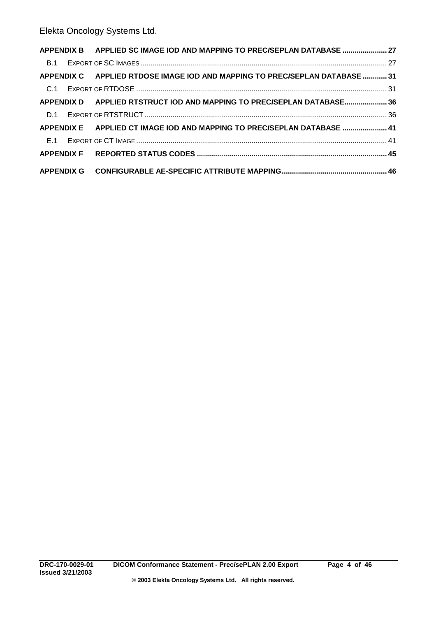|  |  | APPENDIX B APPLIED SC IMAGE IOD AND MAPPING TO PREC/SEPLAN DATABASE  27     |  |
|--|--|-----------------------------------------------------------------------------|--|
|  |  |                                                                             |  |
|  |  | APPENDIX C APPLIED RTDOSE IMAGE IOD AND MAPPING TO PREC/SEPLAN DATABASE  31 |  |
|  |  |                                                                             |  |
|  |  | APPENDIX D APPLIED RTSTRUCT IOD AND MAPPING TO PREC/SEPLAN DATABASE 36      |  |
|  |  |                                                                             |  |
|  |  | APPENDIX E APPLIED CT IMAGE IOD AND MAPPING TO PREC/SEPLAN DATABASE  41     |  |
|  |  |                                                                             |  |
|  |  |                                                                             |  |
|  |  |                                                                             |  |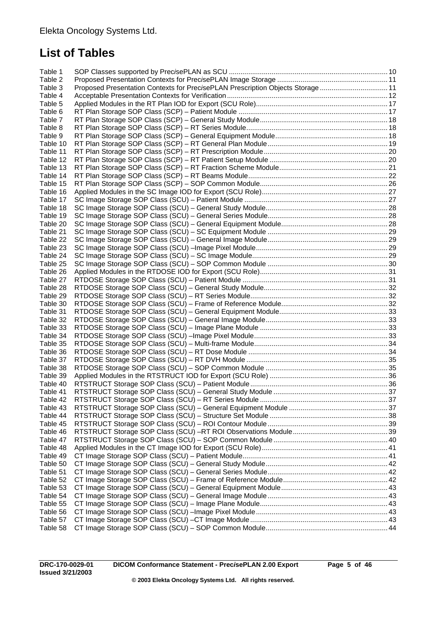# **List of Tables**

| Table 1  |                                                                                |  |
|----------|--------------------------------------------------------------------------------|--|
| Table 2  |                                                                                |  |
| Table 3  | Proposed Presentation Contexts for PrecisePLAN Prescription Objects Storage 11 |  |
| Table 4  |                                                                                |  |
| Table 5  |                                                                                |  |
| Table 6  |                                                                                |  |
| Table 7  |                                                                                |  |
| Table 8  |                                                                                |  |
| Table 9  |                                                                                |  |
| Table 10 |                                                                                |  |
| Table 11 |                                                                                |  |
| Table 12 |                                                                                |  |
| Table 13 |                                                                                |  |
| Table 14 |                                                                                |  |
| Table 15 |                                                                                |  |
| Table 16 |                                                                                |  |
| Table 17 |                                                                                |  |
| Table 18 |                                                                                |  |
| Table 19 |                                                                                |  |
| Table 20 |                                                                                |  |
| Table 21 |                                                                                |  |
| Table 22 |                                                                                |  |
| Table 23 |                                                                                |  |
| Table 24 |                                                                                |  |
| Table 25 |                                                                                |  |
| Table 26 |                                                                                |  |
| Table 27 |                                                                                |  |
| Table 28 |                                                                                |  |
| Table 29 |                                                                                |  |
| Table 30 |                                                                                |  |
| Table 31 |                                                                                |  |
| Table 32 |                                                                                |  |
| Table 33 |                                                                                |  |
| Table 34 |                                                                                |  |
| Table 35 |                                                                                |  |
| Table 36 |                                                                                |  |
| Table 37 |                                                                                |  |
| Table 38 |                                                                                |  |
| Table 39 |                                                                                |  |
| Table 40 |                                                                                |  |
| Table 41 |                                                                                |  |
| Table 42 |                                                                                |  |
| Table 43 |                                                                                |  |
| Table 44 |                                                                                |  |
| Table 45 |                                                                                |  |
| Table 46 |                                                                                |  |
| Table 47 |                                                                                |  |
| Table 48 |                                                                                |  |
| Table 49 |                                                                                |  |
| Table 50 |                                                                                |  |
| Table 51 |                                                                                |  |
| Table 52 |                                                                                |  |
| Table 53 |                                                                                |  |
| Table 54 |                                                                                |  |
| Table 55 |                                                                                |  |
| Table 56 |                                                                                |  |
| Table 57 |                                                                                |  |
| Table 58 |                                                                                |  |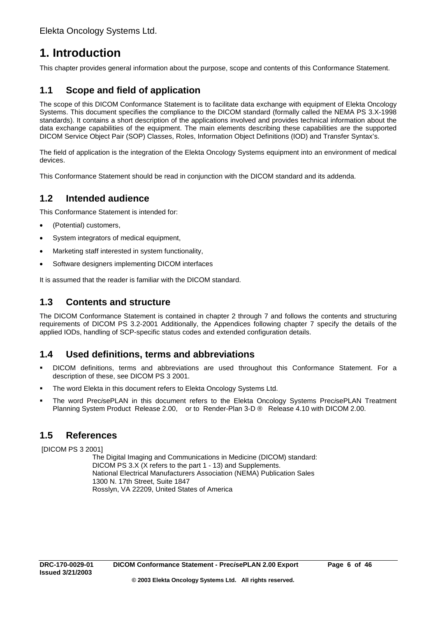# **1. Introduction**

This chapter provides general information about the purpose, scope and contents of this Conformance Statement.

# **1.1 Scope and field of application**

The scope of this DICOM Conformance Statement is to facilitate data exchange with equipment of Elekta Oncology Systems. This document specifies the compliance to the DICOM standard (formally called the NEMA PS 3.X-1998 standards). It contains a short description of the applications involved and provides technical information about the data exchange capabilities of the equipment. The main elements describing these capabilities are the supported DICOM Service Object Pair (SOP) Classes, Roles, Information Object Definitions (IOD) and Transfer Syntax's.

The field of application is the integration of the Elekta Oncology Systems equipment into an environment of medical devices.

This Conformance Statement should be read in conjunction with the DICOM standard and its addenda.

# **1.2 Intended audience**

This Conformance Statement is intended for:

- (Potential) customers,
- System integrators of medical equipment,
- Marketing staff interested in system functionality,
- Software designers implementing DICOM interfaces

It is assumed that the reader is familiar with the DICOM standard.

## **1.3 Contents and structure**

The DICOM Conformance Statement is contained in chapter 2 through 7 and follows the contents and structuring requirements of DICOM PS 3.2-2001 Additionally, the Appendices following chapter 7 specify the details of the applied IODs, handling of SCP-specific status codes and extended configuration details.

## **1.4 Used definitions, terms and abbreviations**

- ! DICOM definitions, terms and abbreviations are used throughout this Conformance Statement. For a description of these, see DICOM PS 3 2001.
- The word Elekta in this document refers to Elekta Oncology Systems Ltd.
- ! The word Prec*i*sePLAN in this document refers to the Elekta Oncology Systems Prec*i*sePLAN Treatment Planning System Product Release 2.00, or to Render-Plan 3-D ® Release 4.10 with DICOM 2.00.

## **1.5 References**

[DICOM PS 3 2001]

The Digital Imaging and Communications in Medicine (DICOM) standard: DICOM PS 3.X (X refers to the part 1 - 13) and Supplements. National Electrical Manufacturers Association (NEMA) Publication Sales 1300 N. 17th Street, Suite 1847 Rosslyn, VA 22209, United States of America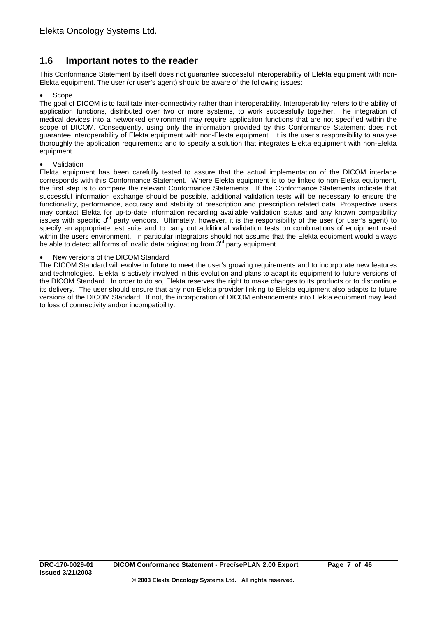# **1.6 Important notes to the reader**

This Conformance Statement by itself does not guarantee successful interoperability of Elekta equipment with non-Elekta equipment. The user (or user's agent) should be aware of the following issues:

### • Scope

The goal of DICOM is to facilitate inter-connectivity rather than interoperability. Interoperability refers to the ability of application functions, distributed over two or more systems, to work successfully together. The integration of medical devices into a networked environment may require application functions that are not specified within the scope of DICOM. Consequently, using only the information provided by this Conformance Statement does not guarantee interoperability of Elekta equipment with non-Elekta equipment. It is the user's responsibility to analyse thoroughly the application requirements and to specify a solution that integrates Elekta equipment with non-Elekta equipment.

### **Validation**

Elekta equipment has been carefully tested to assure that the actual implementation of the DICOM interface corresponds with this Conformance Statement. Where Elekta equipment is to be linked to non-Elekta equipment, the first step is to compare the relevant Conformance Statements. If the Conformance Statements indicate that successful information exchange should be possible, additional validation tests will be necessary to ensure the functionality, performance, accuracy and stability of prescription and prescription related data. Prospective users may contact Elekta for up-to-date information regarding available validation status and any known compatibility issues with specific 3<sup>rd</sup> party vendors. Ultimately, however, it is the responsibility of the user (or user's agent) to specify an appropriate test suite and to carry out additional validation tests on combinations of equipment used within the users environment. In particular integrators should not assume that the Elekta equipment would always be able to detect all forms of invalid data originating from 3<sup>rd</sup> party equipment.

### • New versions of the DICOM Standard

The DICOM Standard will evolve in future to meet the user's growing requirements and to incorporate new features and technologies. Elekta is actively involved in this evolution and plans to adapt its equipment to future versions of the DICOM Standard. In order to do so, Elekta reserves the right to make changes to its products or to discontinue its delivery. The user should ensure that any non-Elekta provider linking to Elekta equipment also adapts to future versions of the DICOM Standard. If not, the incorporation of DICOM enhancements into Elekta equipment may lead to loss of connectivity and/or incompatibility.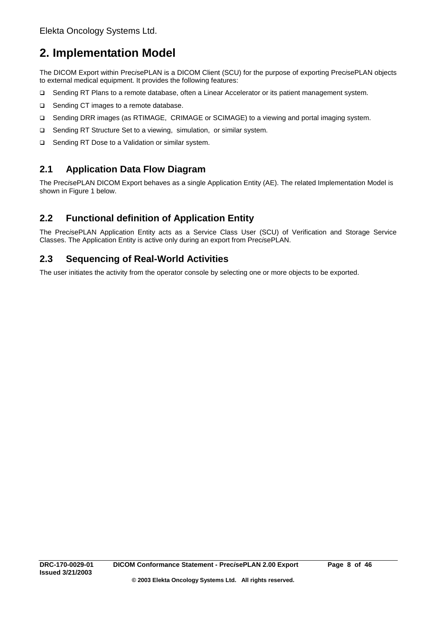# **2. Implementation Model**

The DICOM Export within Prec*i*sePLAN is a DICOM Client (SCU) for the purpose of exporting Prec*i*sePLAN objects to external medical equipment. It provides the following features:

- □ Sending RT Plans to a remote database, often a Linear Accelerator or its patient management system.
- □ Sending CT images to a remote database.
- □ Sending DRR images (as RTIMAGE, CRIMAGE or SCIMAGE) to a viewing and portal imaging system.
- □ Sending RT Structure Set to a viewing, simulation, or similar system.
- □ Sending RT Dose to a Validation or similar system.

# **2.1 Application Data Flow Diagram**

The Prec*i*sePLAN DICOM Export behaves as a single Application Entity (AE). The related Implementation Model is shown in Figure 1 below.

# **2.2 Functional definition of Application Entity**

The Prec*i*sePLAN Application Entity acts as a Service Class User (SCU) of Verification and Storage Service Classes. The Application Entity is active only during an export from Prec*i*sePLAN.

## **2.3 Sequencing of Real-World Activities**

The user initiates the activity from the operator console by selecting one or more objects to be exported.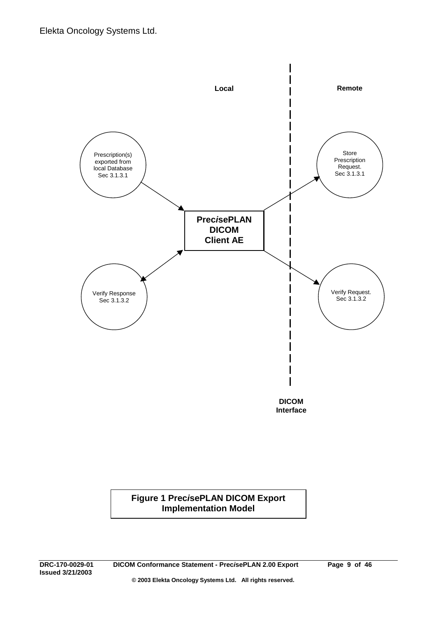

## **Figure 1 Prec***i***sePLAN DICOM Export Implementation Model**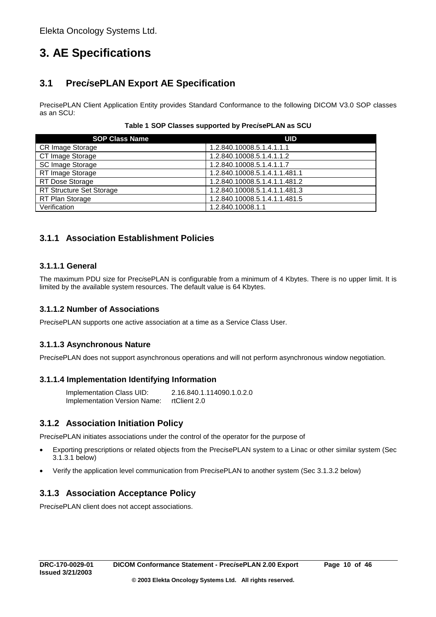# **3. AE Specifications**

# **3.1 Prec***i***sePLAN Export AE Specification**

PrecisePLAN Client Application Entity provides Standard Conformance to the following DICOM V3.0 SOP classes as an SCU:

| Table 1 SOP Classes supported by PrecisePLAN as SCU |
|-----------------------------------------------------|
|-----------------------------------------------------|

| <b>SOP Class Name</b>    | <b>UID</b>                    |
|--------------------------|-------------------------------|
| CR Image Storage         | 1.2.840.10008.5.1.4.1.1.1     |
| CT Image Storage         | 1.2.840.10008.5.1.4.1.1.2     |
| SC Image Storage         | 1.2.840.10008.5.1.4.1.1.7     |
| RT Image Storage         | 1.2.840.10008.5.1.4.1.1.481.1 |
| RT Dose Storage          | 1.2.840.10008.5.1.4.1.1.481.2 |
| RT Structure Set Storage | 1.2.840.10008.5.1.4.1.1.481.3 |
| RT Plan Storage          | 1.2.840.10008.5.1.4.1.1.481.5 |
| Verification             | 1.2.840.10008.1.1             |

## **3.1.1 Association Establishment Policies**

## **3.1.1.1 General**

The maximum PDU size for Prec*i*sePLAN is configurable from a minimum of 4 Kbytes. There is no upper limit. It is limited by the available system resources. The default value is 64 Kbytes.

## **3.1.1.2 Number of Associations**

Prec*i*sePLAN supports one active association at a time as a Service Class User.

## **3.1.1.3 Asynchronous Nature**

Prec*i*sePLAN does not support asynchronous operations and will not perform asynchronous window negotiation.

## **3.1.1.4 Implementation Identifying Information**

Implementation Class UID: 2.16.840.1.114090.1.0.2.0 Implementation Version Name: rtClient 2.0

## **3.1.2 Association Initiation Policy**

Prec*i*sePLAN initiates associations under the control of the operator for the purpose of

- Exporting prescriptions or related objects from the Prec*i*sePLAN system to a Linac or other similar system (Sec 3.1.3.1 below)
- Verify the application level communication from Prec*i*sePLAN to another system (Sec 3.1.3.2 below)

## **3.1.3 Association Acceptance Policy**

Prec*i*sePLAN client does not accept associations.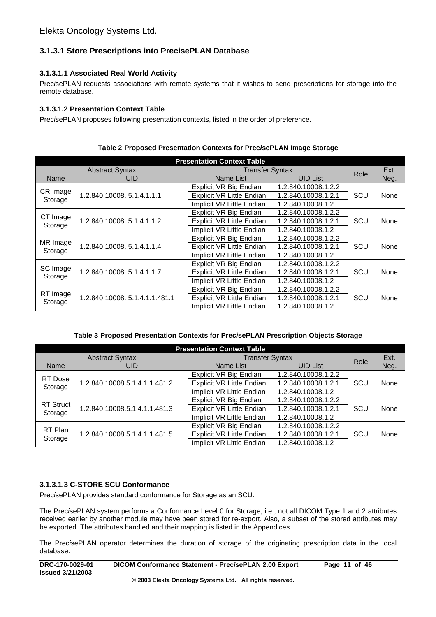## **3.1.3.1 Store Prescriptions into PrecisePLAN Database**

## **3.1.3.1.1 Associated Real World Activity**

Prec*i*sePLAN requests associations with remote systems that it wishes to send prescriptions for storage into the remote database.

## **3.1.3.1.2 Presentation Context Table**

Prec*i*sePLAN proposes following presentation contexts, listed in the order of preference.

| <b>Presentation Context Table</b> |                               |                                                         |                     |      |      |  |
|-----------------------------------|-------------------------------|---------------------------------------------------------|---------------------|------|------|--|
|                                   | <b>Abstract Syntax</b>        | <b>Transfer Syntax</b>                                  | Role                | Ext. |      |  |
| Name                              | UID                           | Name List                                               | <b>UID List</b>     |      | Neg. |  |
|                                   |                               | Explicit VR Big Endian                                  | 1.2.840.10008.1.2.2 |      |      |  |
| CR Image<br>Storage               | 1.2.840.10008.5.1.4.1.1.1     | <b>Explicit VR Little Endian</b>                        | 1.2.840.10008.1.2.1 | SCU  | None |  |
|                                   |                               | Implicit VR Little Endian                               | 1.2.840.10008.1.2   |      |      |  |
|                                   |                               | Explicit VR Big Endian                                  | 1.2.840.10008.1.2.2 |      |      |  |
| CT Image                          | 1.2.840.10008.5.1.4.1.1.2     | <b>Explicit VR Little Endian</b><br>1.2.840.10008.1.2.1 |                     | SCU  | None |  |
| Storage                           |                               | Implicit VR Little Endian                               | 1.2.840.10008.1.2   |      |      |  |
|                                   | 1.2.840.10008.5.1.4.1.1.4     | Explicit VR Big Endian                                  | 1.2.840.10008.1.2.2 |      |      |  |
| MR Image<br>Storage               |                               | <b>Explicit VR Little Endian</b>                        | 1.2.840.10008.1.2.1 | SCU  | None |  |
|                                   |                               | Implicit VR Little Endian                               | 1.2.840.10008.1.2   |      |      |  |
|                                   |                               | Explicit VR Big Endian                                  | 1.2.840.10008.1.2.2 |      |      |  |
| SC Image<br>Storage               | 1.2.840.10008.5.1.4.1.1.7     | <b>Explicit VR Little Endian</b><br>1.2.840.10008.1.2.1 |                     | SCU  | None |  |
|                                   |                               | Implicit VR Little Endian<br>1.2.840.10008.1.2          |                     |      |      |  |
|                                   |                               | Explicit VR Big Endian                                  | 1.2.840.10008.1.2.2 |      |      |  |
| RT Image<br>Storage               | 1.2.840.10008.5.1.4.1.1.481.1 | <b>Explicit VR Little Endian</b><br>1.2.840.10008.1.2.1 |                     | SCU  | None |  |
|                                   |                               | Implicit VR Little Endian                               | 1.2.840.10008.1.2   |      |      |  |

### **Table 2 Proposed Presentation Contexts for Prec***i***sePLAN Image Storage**

## **Table 3 Proposed Presentation Contexts for Prec***i***sePLAN Prescription Objects Storage**

| <b>Presentation Context Table</b> |                               |                                                                                                                  |                        |      |      |  |
|-----------------------------------|-------------------------------|------------------------------------------------------------------------------------------------------------------|------------------------|------|------|--|
|                                   | <b>Abstract Syntax</b>        |                                                                                                                  | <b>Transfer Syntax</b> |      |      |  |
| Name                              | <b>UID</b>                    | Name List                                                                                                        | <b>UID List</b>        | Role | Neg. |  |
|                                   |                               | Explicit VR Big Endian                                                                                           | 1.2.840.10008.1.2.2    |      |      |  |
| RT Dose<br>Storage                | 1.2.840.10008.5.1.4.1.1.481.2 | <b>Explicit VR Little Endian</b><br>1.2.840.10008.1.2.1<br>SCU<br>Implicit VR Little Endian<br>1.2.840.10008.1.2 |                        | None |      |  |
|                                   |                               |                                                                                                                  |                        |      |      |  |
| <b>RT Struct</b><br>Storage       | 1.2.840.10008.5.1.4.1.1.481.3 | Explicit VR Big Endian<br>1.2.840.10008.1.2.2                                                                    |                        |      |      |  |
|                                   |                               | <b>Explicit VR Little Endian</b>                                                                                 | 1.2.840.10008.1.2.1    | SCU  | None |  |
|                                   |                               | Implicit VR Little Endian                                                                                        | 1.2.840.10008.1.2      |      |      |  |
| RT Plan<br>Storage                | 1.2.840.10008.5.1.4.1.1.481.5 | Explicit VR Big Endian                                                                                           | 1.2.840.10008.1.2.2    |      |      |  |
|                                   |                               | <b>Explicit VR Little Endian</b><br>1.2.840.10008.1.2.1                                                          |                        | SCU  | None |  |
|                                   |                               | Implicit VR Little Endian                                                                                        | 1.2.840.10008.1.2      |      |      |  |

## **3.1.3.1.3 C-STORE SCU Conformance**

Prec*i*sePLAN provides standard conformance for Storage as an SCU.

The Prec*i*sePLAN system performs a Conformance Level 0 for Storage, i.e., not all DICOM Type 1 and 2 attributes received earlier by another module may have been stored for re-export. Also, a subset of the stored attributes may be exported. The attributes handled and their mapping is listed in the Appendices.

The Prec*i*sePLAN operator determines the duration of storage of the originating prescription data in the local database.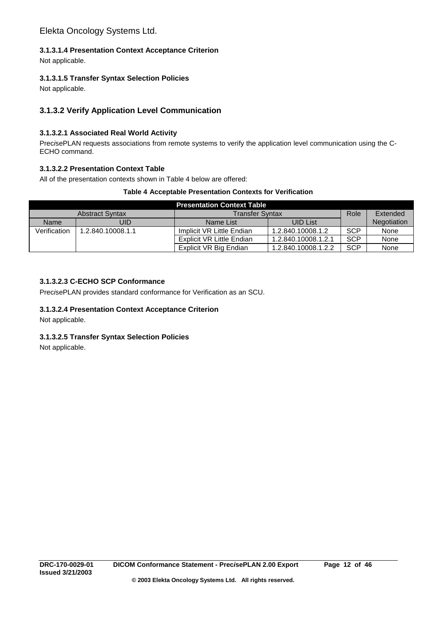## **3.1.3.1.4 Presentation Context Acceptance Criterion**

Not applicable.

## **3.1.3.1.5 Transfer Syntax Selection Policies**

Not applicable.

## **3.1.3.2 Verify Application Level Communication**

## **3.1.3.2.1 Associated Real World Activity**

Prec*i*sePLAN requests associations from remote systems to verify the application level communication using the C-ECHO command.

## **3.1.3.2.2 Presentation Context Table**

All of the presentation contexts shown in Table 4 below are offered:

### **Table 4 Acceptable Presentation Contexts for Verification**

| <b>Presentation Context Table</b> |                        |                                                  |                     |            |             |  |  |  |
|-----------------------------------|------------------------|--------------------------------------------------|---------------------|------------|-------------|--|--|--|
|                                   | <b>Abstract Syntax</b> | <b>Transfer Syntax</b>                           | Role                | Extended   |             |  |  |  |
| Name                              | UID                    | <b>UID List</b><br>Name List                     |                     |            | Negotiation |  |  |  |
| Verification                      | 1.2.840.10008.1.1      | Implicit VR Little Endian<br>1.2.840.10008.1.2   |                     | <b>SCP</b> | None        |  |  |  |
|                                   |                        | Explicit VR Little Endian<br>1.2.840.10008.1.2.1 |                     | <b>SCP</b> | None        |  |  |  |
|                                   |                        | Explicit VR Big Endian                           | 1.2.840.10008.1.2.2 | <b>SCP</b> | None        |  |  |  |

## **3.1.3.2.3 C-ECHO SCP Conformance**

Prec*i*sePLAN provides standard conformance for Verification as an SCU.

## **3.1.3.2.4 Presentation Context Acceptance Criterion**

Not applicable.

## **3.1.3.2.5 Transfer Syntax Selection Policies**

Not applicable.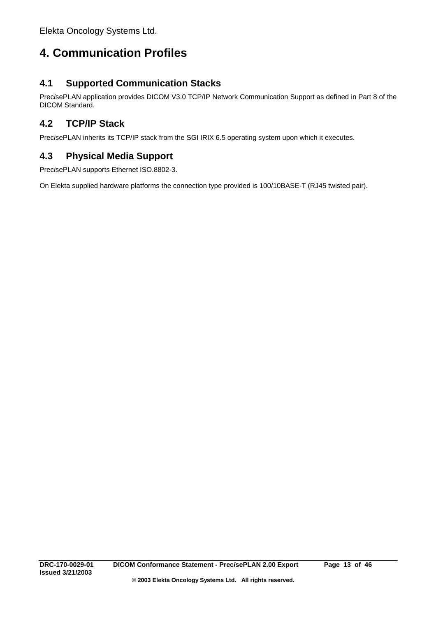# **4. Communication Profiles**

# **4.1 Supported Communication Stacks**

Prec*i*sePLAN application provides DICOM V3.0 TCP/IP Network Communication Support as defined in Part 8 of the DICOM Standard.

# **4.2 TCP/IP Stack**

Prec*i*sePLAN inherits its TCP/IP stack from the SGI IRIX 6.5 operating system upon which it executes.

# **4.3 Physical Media Support**

Prec*i*sePLAN supports Ethernet ISO.8802-3.

On Elekta supplied hardware platforms the connection type provided is 100/10BASE-T (RJ45 twisted pair).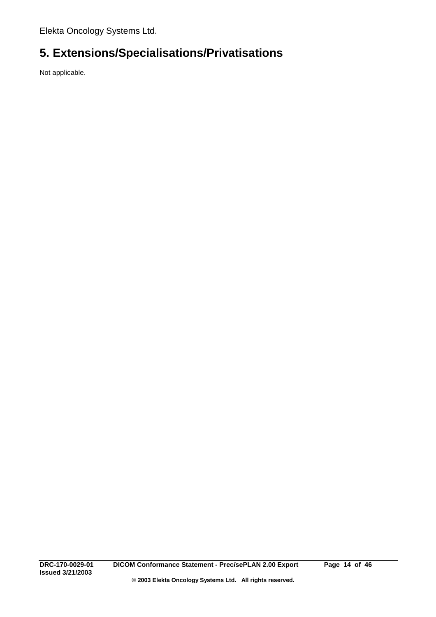# **5. Extensions/Specialisations/Privatisations**

Not applicable.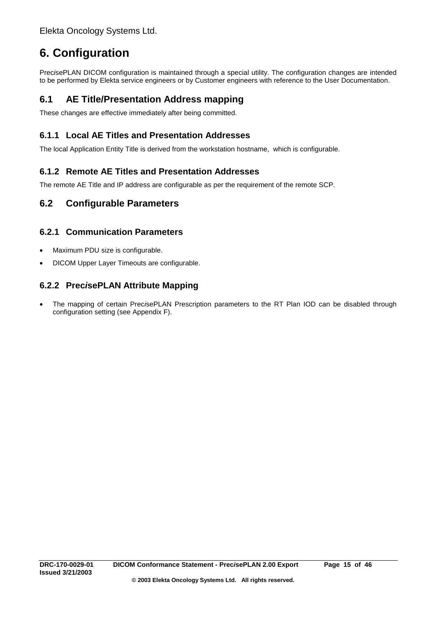# **6. Configuration**

Prec*i*sePLAN DICOM configuration is maintained through a special utility. The configuration changes are intended to be performed by Elekta service engineers or by Customer engineers with reference to the User Documentation.

# **6.1 AE Title/Presentation Address mapping**

These changes are effective immediately after being committed.

# **6.1.1 Local AE Titles and Presentation Addresses**

The local Application Entity Title is derived from the workstation hostname, which is configurable.

## **6.1.2 Remote AE Titles and Presentation Addresses**

The remote AE Title and IP address are configurable as per the requirement of the remote SCP.

## **6.2 Configurable Parameters**

## **6.2.1 Communication Parameters**

- Maximum PDU size is configurable.
- DICOM Upper Layer Timeouts are configurable.

## **6.2.2 Prec***i***sePLAN Attribute Mapping**

• The mapping of certain Prec*i*sePLAN Prescription parameters to the RT Plan IOD can be disabled through configuration setting (see Appendix F).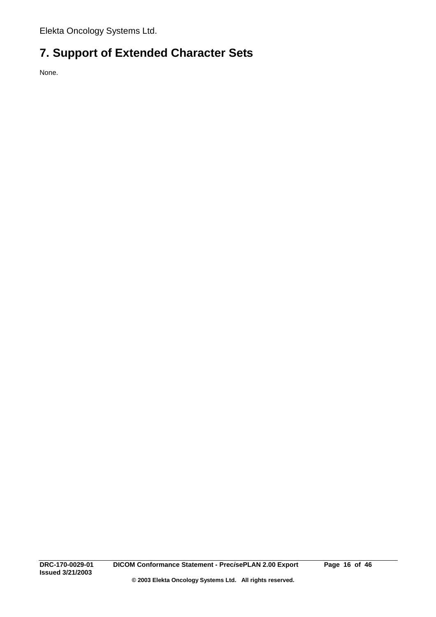# **7. Support of Extended Character Sets**

None.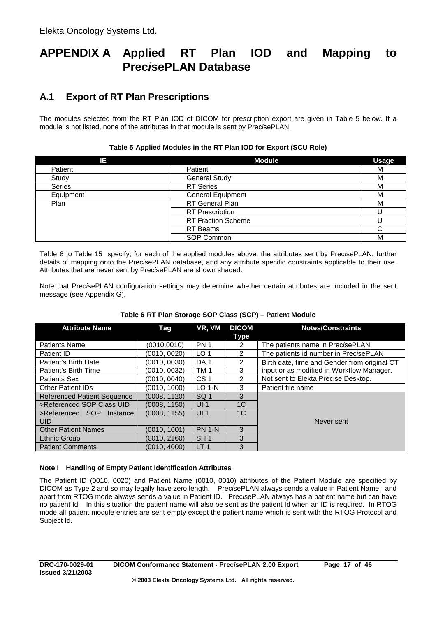# **APPENDIX A Applied RT Plan IOD and Mapping to Prec***i***sePLAN Database**

# **A.1 Export of RT Plan Prescriptions**

The modules selected from the RT Plan IOD of DICOM for prescription export are given in Table 5 below. If a module is not listed, none of the attributes in that module is sent by Prec*i*sePLAN.

| ΙE            | <b>Module</b>             | <b>Usage</b> |
|---------------|---------------------------|--------------|
| Patient       | Patient                   | М            |
| Study         | <b>General Study</b>      | М            |
| <b>Series</b> | <b>RT</b> Series          | М            |
| Equipment     | <b>General Equipment</b>  | M            |
| Plan          | <b>RT</b> General Plan    | M            |
|               | <b>RT</b> Prescription    |              |
|               | <b>RT Fraction Scheme</b> |              |
|               | RT Beams                  |              |
|               | SOP Common                | M            |

## **Table 5 Applied Modules in the RT Plan IOD for Export (SCU Role)**

Table 6 to Table 15 specify, for each of the applied modules above, the attributes sent by Prec*i*sePLAN, further details of mapping onto the Prec*i*sePLAN database, and any attribute specific constraints applicable to their use. Attributes that are never sent by Prec*i*sePLAN are shown shaded.

Note that Prec*i*sePLAN configuration settings may determine whether certain attributes are included in the sent message (see Appendix G).

| <b>Attribute Name</b>                  | Tag          | VR. VM          | <b>DICOM</b><br><b>Type</b> | <b>Notes/Constraints</b>                     |  |
|----------------------------------------|--------------|-----------------|-----------------------------|----------------------------------------------|--|
| <b>Patients Name</b>                   | (0010.0010)  | <b>PN1</b>      | 2                           | The patients name in PrecisePLAN.            |  |
| Patient ID                             | (0010, 0020) | LO <sub>1</sub> | 2                           | The patients id number in PrecisePLAN        |  |
| Patient's Birth Date                   | (0010, 0030) | DA <sub>1</sub> | 2                           | Birth date, time and Gender from original CT |  |
| Patient's Birth Time                   | (0010, 0032) | TM <sub>1</sub> | 3                           | input or as modified in Workflow Manager.    |  |
| <b>Patients Sex</b>                    | (0010, 0040) | CS <sub>1</sub> | $\mathfrak{p}$              | Not sent to Elekta Precise Desktop.          |  |
| <b>Other Patient IDs</b>               | (0010, 1000) | $LO$ 1-N        | 3                           | Patient file name                            |  |
| <b>Referenced Patient Sequence</b>     | (0008, 1120) | SQ <sub>1</sub> | 3                           |                                              |  |
| >Referenced SOP Class UID              | (0008, 1150) | UI <sub>1</sub> | 1 <sup>C</sup>              |                                              |  |
| >Referenced SOP Instance<br><b>UID</b> | (0008, 1155) | UI <sub>1</sub> | 1C                          | Never sent                                   |  |
| <b>Other Patient Names</b>             | (0010, 1001) | <b>PN 1-N</b>   | 3                           |                                              |  |
| <b>Ethnic Group</b>                    | (0010, 2160) | SH <sub>1</sub> | 3                           |                                              |  |
| <b>Patient Comments</b>                | (0010, 4000) | LT <sub>1</sub> | 3                           |                                              |  |

## **Table 6 RT Plan Storage SOP Class (SCP) – Patient Module**

## **Note I Handling of Empty Patient Identification Attributes**

The Patient ID (0010, 0020) and Patient Name (0010, 0010) attributes of the Patient Module are specified by DICOM as Type 2 and so may legally have zero length. Prec*i*sePLAN always sends a value in Patient Name, and apart from RTOG mode always sends a value in Patient ID. Prec*i*sePLAN always has a patient name but can have no patient Id. In this situation the patient name will also be sent as the patient Id when an ID is required. In RTOG mode all patient module entries are sent empty except the patient name which is sent with the RTOG Protocol and Subject Id.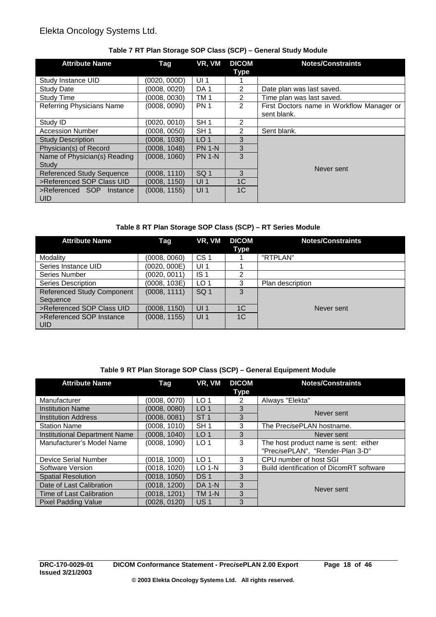| <b>Attribute Name</b>                  | Tag          | VR, VM          | <b>DICOM</b><br><b>Type</b> | <b>Notes/Constraints</b>                                 |  |
|----------------------------------------|--------------|-----------------|-----------------------------|----------------------------------------------------------|--|
| Study Instance UID                     | (0020, 000D) | UI <sub>1</sub> |                             |                                                          |  |
| <b>Study Date</b>                      | (0008, 0020) | DA 1            | 2                           | Date plan was last saved.                                |  |
| <b>Study Time</b>                      | (0008, 0030) | TM <sub>1</sub> | $\overline{2}$              | Time plan was last saved.                                |  |
| Referring Physicians Name              | (0008, 0090) | <b>PN1</b>      | $\mathcal{P}$               | First Doctors name in Workflow Manager or<br>sent blank. |  |
| Study ID                               | (0020, 0010) | SH <sub>1</sub> | 2                           |                                                          |  |
| <b>Accession Number</b>                | (0008, 0050) | SH <sub>1</sub> | 2                           | Sent blank.                                              |  |
| <b>Study Description</b>               | (0008, 1030) | LO <sub>1</sub> | 3                           |                                                          |  |
| Physician(s) of Record                 | (0008, 1048) | <b>PN 1-N</b>   | 3                           |                                                          |  |
| Name of Physician(s) Reading<br>Study  | (0008, 1060) | <b>PN 1-N</b>   | 3                           |                                                          |  |
| <b>Referenced Study Sequence</b>       | (0008, 1110) | SQ <sub>1</sub> | 3                           | Never sent                                               |  |
| >Referenced SOP Class UID              | (0008, 1150) | UI <sub>1</sub> | 1 <sup>C</sup>              |                                                          |  |
| >Referenced SOP Instance<br><b>UID</b> | (0008, 1155) | UI <sub>1</sub> | 1 <sup>C</sup>              |                                                          |  |

## **Table 7 RT Plan Storage SOP Class (SCP) – General Study Module**

## **Table 8 RT Plan Storage SOP Class (SCP) – RT Series Module**

| <b>Attribute Name</b>             | Tag          | VR, VM          | <b>DICOM</b><br>Type | <b>Notes/Constraints</b> |  |
|-----------------------------------|--------------|-----------------|----------------------|--------------------------|--|
| Modality                          | (0008, 0060) | CS <sub>1</sub> |                      | "RTPLAN"                 |  |
| Series Instance UID               | (0020, 000E) | UI <sub>1</sub> |                      |                          |  |
| Series Number                     | (0020, 0011) | IS <sub>1</sub> | 2                    |                          |  |
| Series Description                | (0008, 103E) | LO <sub>1</sub> | 3                    | Plan description         |  |
| <b>Referenced Study Component</b> | (0008, 1111) | SQ <sub>1</sub> | 3                    |                          |  |
| Sequence                          |              |                 |                      |                          |  |
| >Referenced SOP Class UID         | (0008, 1150) | UI <sub>1</sub> | 1 <sup>C</sup>       | Never sent               |  |
| >Referenced SOP Instance          | (0008, 1155) | UI <sub>1</sub> | 1 <sup>C</sup>       |                          |  |
| <b>UID</b>                        |              |                 |                      |                          |  |

## **Table 9 RT Plan Storage SOP Class (SCP) – General Equipment Module**

| <b>Attribute Name</b>                | Tag          | VR, VM          | <b>DICOM</b><br><b>Type</b> | <b>Notes/Constraints</b>                 |
|--------------------------------------|--------------|-----------------|-----------------------------|------------------------------------------|
| Manufacturer                         | (0008, 0070) | LO <sub>1</sub> | 2                           | Always "Elekta"                          |
| <b>Institution Name</b>              | (0008, 0080) | LO <sub>1</sub> | 3                           | Never sent                               |
| <b>Institution Address</b>           | (0008, 0081) | ST <sub>1</sub> | 3                           |                                          |
| <b>Station Name</b>                  | (0008, 1010) | SH <sub>1</sub> | 3                           | The PrecisePLAN hostname.                |
| <b>Institutional Department Name</b> | (0008, 1040) | LO <sub>1</sub> | 3                           | Never sent                               |
| Manufacturer's Model Name            | (0008, 1090) | LO <sub>1</sub> | 3                           | The host product name is sent: either    |
|                                      |              |                 |                             | "PrecisePLAN", "Render-Plan 3-D"         |
| Device Serial Number                 | (0018, 1000) | LO <sub>1</sub> | 3                           | CPU number of host SGI                   |
| Software Version                     | (0018, 1020) | $LO$ 1-N        | 3                           | Build identification of DicomRT software |
| <b>Spatial Resolution</b>            | (0018, 1050) | DS <sub>1</sub> | 3                           |                                          |
| Date of Last Calibration             | (0018, 1200) | <b>DA 1-N</b>   | 3                           | Never sent                               |
| Time of Last Calibration             | (0018, 1201) | <b>TM 1-N</b>   | 3                           |                                          |
| <b>Pixel Padding Value</b>           | (0028.0120)  | US <sub>1</sub> | 3                           |                                          |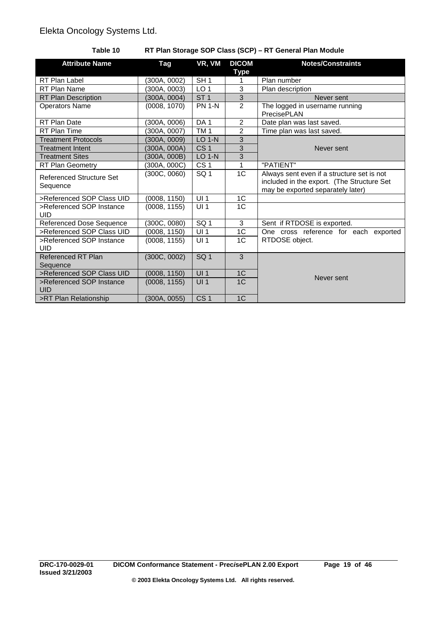## **Table 10 RT Plan Storage SOP Class (SCP) – RT General Plan Module**

| <b>Attribute Name</b>                  | Tag          | VR, VM          | <b>DICOM</b><br>Type | <b>Notes/Constraints</b>                                                                                                      |
|----------------------------------------|--------------|-----------------|----------------------|-------------------------------------------------------------------------------------------------------------------------------|
| RT Plan Label                          | (300A, 0002) | SH <sub>1</sub> | 1                    | Plan number                                                                                                                   |
| RT Plan Name                           | (300A, 0003) | LO <sub>1</sub> | 3                    | Plan description                                                                                                              |
| RT Plan Description                    | (300A, 0004) | ST <sub>1</sub> | $\overline{3}$       | Never sent                                                                                                                    |
| <b>Operators Name</b>                  | (0008, 1070) | <b>PN 1-N</b>   | $\overline{2}$       | The logged in username running<br>PrecisePLAN                                                                                 |
| RT Plan Date                           | (300A, 0006) | DA <sub>1</sub> | 2                    | Date plan was last saved.                                                                                                     |
| RT Plan Time                           | (300A, 0007) | TM <sub>1</sub> | $\overline{2}$       | Time plan was last saved.                                                                                                     |
| <b>Treatment Protocols</b>             | (300A, 0009) | <b>LO 1-N</b>   | 3                    |                                                                                                                               |
| <b>Treatment Intent</b>                | (300A, 000A) | CS <sub>1</sub> | 3                    | Never sent                                                                                                                    |
| <b>Treatment Sites</b>                 | (300A, 000B) | <b>LO 1-N</b>   | 3                    |                                                                                                                               |
| RT Plan Geometry                       | 300A, 000C)  | CS <sub>1</sub> | 1                    | "PATIENT"                                                                                                                     |
| Referenced Structure Set<br>Sequence   | (300C, 0060) | SQ <sub>1</sub> | 1C                   | Always sent even if a structure set is not<br>included in the export. (The Structure Set<br>may be exported separately later) |
| >Referenced SOP Class UID              | (0008, 1150) | UI1             | 1C                   |                                                                                                                               |
| >Referenced SOP Instance<br><b>UID</b> | (0008, 1155) | UI <sub>1</sub> | 1C                   |                                                                                                                               |
| <b>Referenced Dose Sequence</b>        | (300C, 0080) | SQ <sub>1</sub> | 3                    | Sent if RTDOSE is exported.                                                                                                   |
| >Referenced SOP Class UID              | (0008, 1150) | UI <sub>1</sub> | 1 <sub>C</sub>       | One cross reference for each exported                                                                                         |
| >Referenced SOP Instance<br>UID        | (0008, 1155) | UI <sub>1</sub> | 1 <sup>C</sup>       | RTDOSE object.                                                                                                                |
| <b>Referenced RT Plan</b><br>Sequence  | (300C, 0002) | SG <sub>1</sub> | $\overline{3}$       |                                                                                                                               |
| >Referenced SOP Class UID              | (0008, 1150) | UI1             | 1C                   | Never sent                                                                                                                    |
| >Referenced SOP Instance<br>UID        | (0008, 1155) | UI <sub>1</sub> | 1 <sup>C</sup>       |                                                                                                                               |
| >RT Plan Relationship                  | (300A, 0055) | CS <sub>1</sub> | 1 <sup>C</sup>       |                                                                                                                               |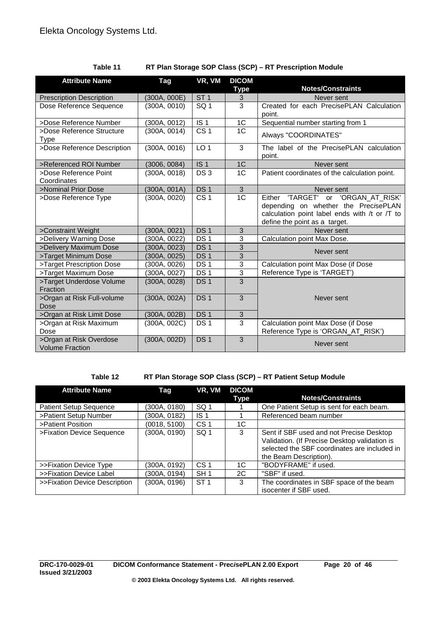| <b>Attribute Name</b>                             | Tag          | VR, VM            | <b>DICOM</b><br><b>Type</b> | <b>Notes/Constraints</b>                                                                                                                                     |
|---------------------------------------------------|--------------|-------------------|-----------------------------|--------------------------------------------------------------------------------------------------------------------------------------------------------------|
| <b>Prescription Description</b>                   | (300A, 000E) | ST <sub>1</sub>   | 3                           | Never sent                                                                                                                                                   |
| Dose Reference Sequence                           | (300A, 0010) | SQ <sub>1</sub>   | 3                           | Created for each PrecisePLAN Calculation<br>point.                                                                                                           |
| >Dose Reference Number                            | (300A, 0012) | $\overline{1S}$ 1 | $\overline{1C}$             | Sequential number starting from 1                                                                                                                            |
| >Dose Reference Structure<br><b>Type</b>          | (300A, 0014) | CS <sub>1</sub>   | 1 <sup>C</sup>              | Always "COORDINATES"                                                                                                                                         |
| >Dose Reference Description                       | (300A, 0016) | LO <sub>1</sub>   | 3                           | The label of the PrecisePLAN calculation<br>point.                                                                                                           |
| >Referenced ROI Number                            | (3006, 0084) | IS <sub>1</sub>   | 1C                          | Never sent                                                                                                                                                   |
| >Dose Reference Point<br>Coordinates              | (300A, 0018) | DS <sub>3</sub>   | 1 <sub>C</sub>              | Patient coordinates of the calculation point.                                                                                                                |
| >Nominal Prior Dose                               | (300A, 001A) | DS <sub>1</sub>   | 3                           | Never sent                                                                                                                                                   |
| >Dose Reference Type                              | (300A, 0020) | CS <sub>1</sub>   | 1 <sup>C</sup>              | Either 'TARGET' or 'ORGAN_AT_RISK'<br>depending on whether the PrecisePLAN<br>calculation point label ends with /t or /T to<br>define the point as a target. |
| >Constraint Weight                                | (300A, 0021) | DS <sub>1</sub>   | 3                           | Never sent                                                                                                                                                   |
| >Delivery Warning Dose                            | (300A, 0022) | DS <sub>1</sub>   | 3                           | Calculation point Max Dose.                                                                                                                                  |
| >Delivery Maximum Dose                            | (300A, 0023) | DS <sub>1</sub>   | 3                           | Never sent                                                                                                                                                   |
| >Target Minimum Dose                              | (300A, 0025) | DS <sub>1</sub>   | 3                           |                                                                                                                                                              |
| >Target Prescription Dose                         | (300A, 0026) | DS <sub>1</sub>   | $\overline{3}$              | Calculation point Max Dose (if Dose                                                                                                                          |
| >Target Maximum Dose                              | (300A, 0027) | DS <sub>1</sub>   | 3                           | Reference Type is 'TARGET')                                                                                                                                  |
| >Target Underdose Volume<br>Fraction              | (300A, 0028) | DS <sub>1</sub>   | $\overline{3}$              |                                                                                                                                                              |
| >Organ at Risk Full-volume<br>Dose                | (300A, 002A) | DS <sub>1</sub>   | $\overline{3}$              | Never sent                                                                                                                                                   |
| >Organ at Risk Limit Dose                         | (300A, 002B) | DS <sub>1</sub>   | $\sqrt{3}$                  |                                                                                                                                                              |
| >Organ at Risk Maximum<br>Dose                    | (300A, 002C) | DS <sub>1</sub>   | 3                           | Calculation point Max Dose (if Dose<br>Reference Type is 'ORGAN_AT_RISK')                                                                                    |
| >Organ at Risk Overdose<br><b>Volume Fraction</b> | (300A, 002D) | DS <sub>1</sub>   | $\overline{3}$              | Never sent                                                                                                                                                   |

**Table 11 RT Plan Storage SOP Class (SCP) – RT Prescription Module**

## **Table 12 RT Plan Storage SOP Class (SCP) – RT Patient Setup Module**

| <b>Attribute Name</b>         | Tag          | VR, VM          | <b>DICOM</b><br>Type | <b>Notes/Constraints</b>                                                                                                                                            |
|-------------------------------|--------------|-----------------|----------------------|---------------------------------------------------------------------------------------------------------------------------------------------------------------------|
| <b>Patient Setup Sequence</b> | (300A, 0180) | SQ 1            |                      | One Patient Setup is sent for each beam.                                                                                                                            |
| >Patient Setup Number         | (300A, 0182) | IS <sub>1</sub> |                      | Referenced beam number                                                                                                                                              |
| >Patient Position             | (0018, 5100) | CS <sub>1</sub> | 1C                   |                                                                                                                                                                     |
| >Fixation Device Sequence     | (300A, 0190) | SQ <sub>1</sub> | 3                    | Sent if SBF used and not Precise Desktop<br>Validation. (If Precise Desktop validation is<br>selected the SBF coordinates are included in<br>the Beam Description). |
| >>Fixation Device Type        | (300A, 0192) | CS <sub>1</sub> | 1C                   | "BODYFRAME" if used.                                                                                                                                                |
| >>Fixation Device Label       | (300A, 0194) | SH <sub>1</sub> | 2C                   | "SBF" if used.                                                                                                                                                      |
| >>Fixation Device Description | (300A, 0196) | ST <sub>1</sub> | 3                    | The coordinates in SBF space of the beam<br>isocenter if SBF used.                                                                                                  |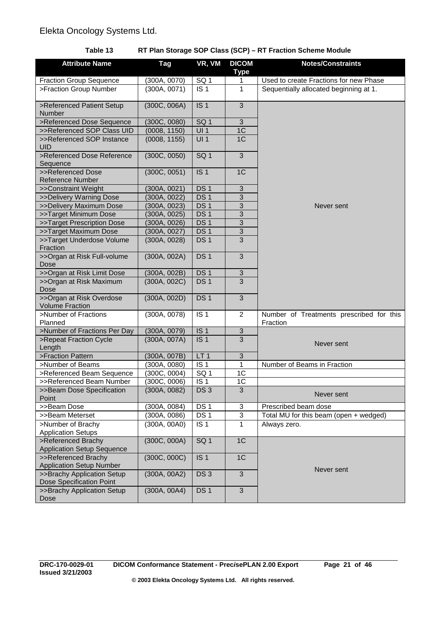## **Table 13 RT Plan Storage SOP Class (SCP) – RT Fraction Scheme Module**

| <b>Attribute Name</b>                                   | Tag          | VR, VM            | <b>DICOM</b><br><b>Type</b> | <b>Notes/Constraints</b>                             |
|---------------------------------------------------------|--------------|-------------------|-----------------------------|------------------------------------------------------|
| <b>Fraction Group Sequence</b>                          | (300A, 0070) | SQ <sub>1</sub>   | 1                           | Used to create Fractions for new Phase               |
| >Fraction Group Number                                  | (300A, 0071) | IS <sub>1</sub>   | 1                           | Sequentially allocated beginning at 1.               |
| >Referenced Patient Setup<br>Number                     | (300C, 006A) | IS <sub>1</sub>   | 3                           |                                                      |
| >Referenced Dose Sequence                               | (300C, 0080) | SQ <sub>1</sub>   | 3                           |                                                      |
| >>Referenced SOP Class UID                              | (0008, 1150) | UI1               | 1 <sup>C</sup>              |                                                      |
| >>Referenced SOP Instance<br><b>UID</b>                 | (0008, 1155) | U11               | 1C                          |                                                      |
| >Referenced Dose Reference<br>Sequence                  | (300C, 0050) | SG <sub>1</sub>   | $\overline{3}$              |                                                      |
| >>Referenced Dose<br><b>Reference Number</b>            | (300C, 0051) | IS <sub>1</sub>   | 1 <sup>C</sup>              |                                                      |
| >>Constraint Weight                                     | (300A, 0021) | DS <sub>1</sub>   | $\sqrt{3}$                  |                                                      |
| >>Delivery Warning Dose                                 | (300A, 0022) | DS <sub>1</sub>   | 3                           |                                                      |
| >>Delivery Maximum Dose                                 | (300A, 0023) | DS <sub>1</sub>   | 3                           | Never sent                                           |
| >>Target Minimum Dose                                   | (300A, 0025) | DS <sub>1</sub>   | $\sqrt{3}$                  |                                                      |
| >>Target Prescription Dose                              | (300A, 0026) | DS <sub>1</sub>   | $\mathbf{3}$                |                                                      |
| >>Target Maximum Dose                                   | (300A, 0027) | DS <sub>1</sub>   | 3                           |                                                      |
| >>Target Underdose Volume<br>Fraction                   | (300A, 0028) | DS <sub>1</sub>   | $\overline{3}$              |                                                      |
| >>Organ at Risk Full-volume<br>Dose                     | (300A, 002A) | DS <sub>1</sub>   | 3                           |                                                      |
| >>Organ at Risk Limit Dose                              | (300A, 002B) | DS <sub>1</sub>   | 3                           |                                                      |
| >>Organ at Risk Maximum<br>Dose                         | (300A, 002C) | DS <sub>1</sub>   | 3                           |                                                      |
| >>Organ at Risk Overdose<br><b>Volume Fraction</b>      | (300A, 002D) | DS <sub>1</sub>   | 3                           |                                                      |
| >Number of Fractions<br>Planned                         | (300A, 0078) | IS <sub>1</sub>   | $\overline{2}$              | Number of Treatments prescribed for this<br>Fraction |
| >Number of Fractions Per Day                            | (300A, 0079) | IS <sub>1</sub>   | $\mathfrak{S}$              |                                                      |
| >Repeat Fraction Cycle<br>Length                        | (300A, 007A) | IS <sub>1</sub>   | 3                           | Never sent                                           |
| >Fraction Pattern                                       | (300A, 007B) | LT1               | $\overline{3}$              |                                                      |
| >Number of Beams                                        | (300A, 0080) | IS <sub>1</sub>   | 1                           | Number of Beams in Fraction                          |
| >Referenced Beam Sequence                               | (300C, 0004) | $\overline{SO}$ 1 | 1C                          |                                                      |
| >>Referenced Beam Number                                | (300C, 0006) | IS <sub>1</sub>   | 1 <sup>C</sup>              |                                                      |
| >>Beam Dose Specification<br>Point                      | (300A, 0082) | DS <sub>3</sub>   | 3                           | Never sent                                           |
| >>Beam Dose                                             | (300A, 0084) | DS <sub>1</sub>   | 3                           | Prescribed beam dose                                 |
| >>Beam Meterset                                         | (300A, 0086) | DS <sub>1</sub>   | 3                           | Total MU for this beam (open + wedged)               |
| >Number of Brachy<br><b>Application Setups</b>          | (300A, 00A0) | IS <sub>1</sub>   | 1                           | Always zero.                                         |
| >Referenced Brachy<br><b>Application Setup Sequence</b> | (300C, 000A) | SQ <sub>1</sub>   | 1C                          |                                                      |
| >>Referenced Brachy<br><b>Application Setup Number</b>  | (300C, 000C) | IS <sub>1</sub>   | 1C                          |                                                      |
| >>Brachy Application Setup<br>Dose Specification Point  | (300A, 00A2) | DS <sub>3</sub>   | 3                           | Never sent                                           |
| >>Brachy Application Setup<br>Dose                      | (300A, 00A4) | DS <sub>1</sub>   | 3                           |                                                      |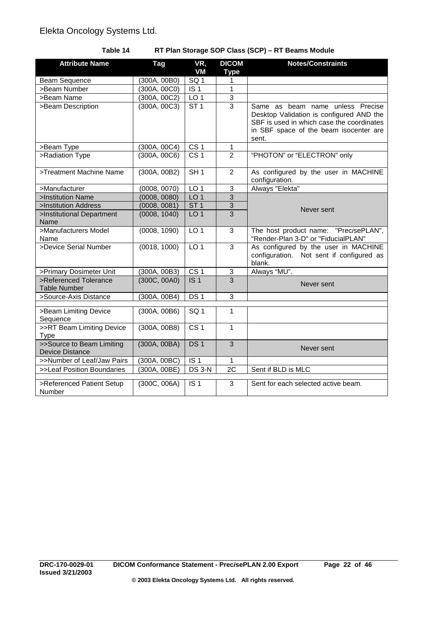## **Table 14 RT Plan Storage SOP Class (SCP) – RT Beams Module**

| <b>Attribute Name</b>                               | Tag          | VR,<br><b>VM</b> | <b>DICOM</b><br><b>Type</b> | <b>Notes/Constraints</b>                                                                                                                                                     |
|-----------------------------------------------------|--------------|------------------|-----------------------------|------------------------------------------------------------------------------------------------------------------------------------------------------------------------------|
| <b>Beam Sequence</b>                                | (300A, 00B0) | SG <sub>1</sub>  | 1                           |                                                                                                                                                                              |
| >Beam Number                                        | (300A, 00C0) | IS <sub>1</sub>  | 1                           |                                                                                                                                                                              |
| >Beam Name                                          | (300A, 00C2) | LO <sub>1</sub>  | 3                           |                                                                                                                                                                              |
| >Beam Description                                   | (300A, 00C3) | ST1              | $\overline{3}$              | Same as beam name unless Precise<br>Desktop Validation is configured AND the<br>SBF is used in which case the coordinates<br>in SBF space of the beam isocenter are<br>sent. |
| >Beam Type                                          | (300A, 00C4) | CS <sub>1</sub>  | 1                           |                                                                                                                                                                              |
| >Radiation Type                                     | (300A, 00C6) | CS <sub>1</sub>  | $\overline{2}$              | "PHOTON" or "ELECTRON" only                                                                                                                                                  |
| >Treatment Machine Name                             | (300A, 00B2) | SH1              | 2                           | As configured by the user in MACHINE<br>configuration.                                                                                                                       |
| >Manufacturer                                       | (0008, 0070) | LO <sub>1</sub>  | $\overline{3}$              | Always "Elekta"                                                                                                                                                              |
| >Institution Name                                   | (0008, 0080) | LO <sub>1</sub>  | $\overline{3}$              |                                                                                                                                                                              |
| >Institution Address                                | (0008, 0081) | ST <sub>1</sub>  | 3                           | Never sent                                                                                                                                                                   |
| >Institutional Department<br>Name                   | (0008, 1040) | LO <sub>1</sub>  | $\overline{3}$              |                                                                                                                                                                              |
| >Manufacturers Model<br>Name                        | (0008, 1090) | LO <sub>1</sub>  | 3                           | The host product name: "Prec <i>isePLAN"</i> ,<br>"Render-Plan 3-D" or "FiducialPLAN"                                                                                        |
| >Device Serial Number                               | (0018, 1000) | LO <sub>1</sub>  | 3                           | As configured by the user in MACHINE<br>configuration. Not sent if configured as<br>blank.                                                                                   |
| >Primary Dosimeter Unit                             | (300A, 00B3) | CS <sub>1</sub>  | $\ensuremath{\mathsf{3}}$   | Always "MU".                                                                                                                                                                 |
| >Referenced Tolerance<br><b>Table Number</b>        | (300C, 00A0) | IS <sub>1</sub>  | $\overline{3}$              | Never sent                                                                                                                                                                   |
| >Source-Axis Distance                               | (300A, 00B4) | DS <sub>1</sub>  | $\overline{3}$              |                                                                                                                                                                              |
| >Beam Limiting Device<br>Sequence                   | (300A, 00B6) | SG <sub>1</sub>  | 1                           |                                                                                                                                                                              |
| >>RT Beam Limiting Device<br><b>Type</b>            | (300A, 00B8) | CS <sub>1</sub>  | $\mathbf{1}$                |                                                                                                                                                                              |
| >>Source to Beam Limiting<br><b>Device Distance</b> | (300A, 00BA) | DS <sub>1</sub>  | $\overline{3}$              | Never sent                                                                                                                                                                   |
| >>Number of Leaf/Jaw Pairs                          | (300A, 00BC) | IS <sub>1</sub>  | $\mathbf{1}$                |                                                                                                                                                                              |
| >>Leaf Position Boundaries                          | (300A, 00BE) | DS 3-N           | 2C                          | Sent if BLD is MLC                                                                                                                                                           |
| >Referenced Patient Setup<br>Number                 | (300C, 006A) | IS <sub>1</sub>  | 3                           | Sent for each selected active beam.                                                                                                                                          |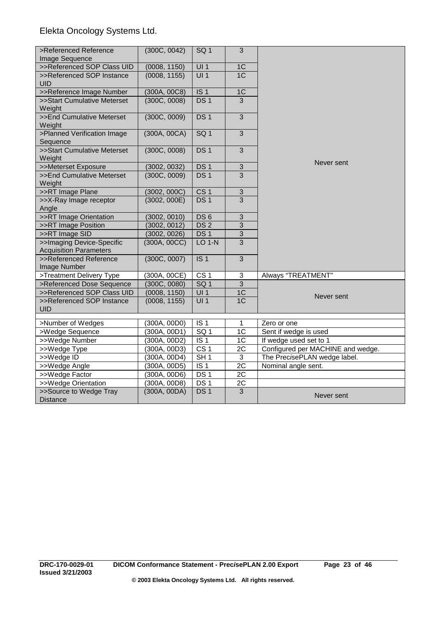| >Referenced Reference                                      | (300C, 0042) | SQ <sub>1</sub>  | $\mathbf{3}$    |                                   |
|------------------------------------------------------------|--------------|------------------|-----------------|-----------------------------------|
| Image Sequence                                             |              |                  |                 |                                   |
| >>Referenced SOP Class UID                                 | (0008, 1150) | UI1              | 1C              |                                   |
| >>Referenced SOP Instance<br><b>UID</b>                    | (0008, 1155) | UI1              | 1C              |                                   |
| >>Reference Image Number                                   | (300A, 00C8) | IS <sub>1</sub>  | 1 <sup>C</sup>  |                                   |
| >>Start Cumulative Meterset<br>Weight                      | (300C, 0008) | DS <sub>1</sub>  | 3               |                                   |
| >>End Cumulative Meterset<br>Weight                        | (300C, 0009) | DS <sub>1</sub>  | $\overline{3}$  |                                   |
| >Planned Verification Image<br>Sequence                    | (300A, 00CA) | SG <sub>1</sub>  | $\overline{3}$  |                                   |
| >>Start Cumulative Meterset<br>Weight                      | (300C, 0008) | DS <sub>1</sub>  | $\mathbf{3}$    |                                   |
| >>Meterset Exposure                                        | (3002, 0032) | DS <sub>1</sub>  | $\mathbf{3}$    | Never sent                        |
| >>End Cumulative Meterset<br>Weight                        | (300C, 0009) | DS <sub>1</sub>  | 3               |                                   |
| >>RT Image Plane                                           | (3002, 000C) | CS <sub>1</sub>  | $\mathbf{3}$    |                                   |
| >>X-Ray Image receptor<br>Angle                            | (3002, 000E) | DS <sub>1</sub>  | 3               |                                   |
| >>RT Image Orientation                                     | (3002, 0010) | DS6              | 3               |                                   |
| >>RT Image Position                                        | (3002, 0012) | DS <sub>2</sub>  | $\overline{3}$  |                                   |
| >>RT Image SID                                             | (3002, 0026) | DS <sub>1</sub>  | $\overline{3}$  |                                   |
| >>Imaging Device-Specific<br><b>Acquisition Parameters</b> | (300A, 00CC) | <b>LO 1-N</b>    | $\overline{3}$  |                                   |
| >>Referenced Reference<br>Image Number                     | (300C, 0007) | $\overline{IS}1$ | $\overline{3}$  |                                   |
| >Treatment Delivery Type                                   | (300A, 00CE) | CS <sub>1</sub>  | $\sqrt{3}$      | Always "TREATMENT"                |
| >Referenced Dose Sequence                                  | (300C, 0080) | SQ <sub>1</sub>  | $\overline{3}$  |                                   |
| >>Referenced SOP Class UID                                 | (0008, 1150) | UI1              | 1C              | Never sent                        |
| >>Referenced SOP Instance<br><b>UID</b>                    | (0008, 1155) | UI1              | 1 <sup>C</sup>  |                                   |
| >Number of Wedges                                          | (300A, 00D0) | IS <sub>1</sub>  | $\mathbf{1}$    | Zero or one                       |
| >Wedge Sequence                                            | (300A, 00D1) | SQ <sub>1</sub>  | $\overline{1C}$ | Sent if wedge is used             |
| >>Wedge Number                                             | (300A, 00D2) | IS <sub>1</sub>  | $\overline{1C}$ | If wedge used set to 1            |
| >>Wedge Type                                               | (300A, 00D3) | CS <sub>1</sub>  | 2C              | Configured per MACHINE and wedge. |
| >>Wedge ID                                                 | (300A, 00D4) | SH <sub>1</sub>  | $\mathfrak{S}$  | The PrecisePLAN wedge label.      |
| >>Wedge Angle                                              | (300A, 00D5) | IS <sub>1</sub>  | 2C              | Nominal angle sent.               |
| >>Wedge Factor                                             | (300A, 00D6) | DS <sub>1</sub>  | 2C              |                                   |
| >>Wedge Orientation                                        | (300A, 00D8) | DS <sub>1</sub>  | $\overline{2C}$ |                                   |
| >>Source to Wedge Tray<br><b>Distance</b>                  | (300A, 00DA) | DS <sub>1</sub>  | $\overline{3}$  | Never sent                        |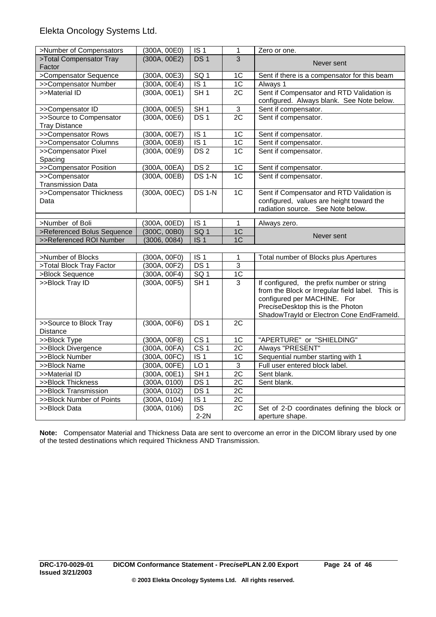| >Number of Compensators    | (300A, 00E0)                 | IS <sub>1</sub>           | 1               | Zero or one.                                                    |
|----------------------------|------------------------------|---------------------------|-----------------|-----------------------------------------------------------------|
| >Total Compensator Tray    | (300A, 00E2)                 | DS <sub>1</sub>           | 3               | Never sent                                                      |
| Factor                     |                              |                           |                 |                                                                 |
| >Compensator Sequence      | (300A, 00E3)                 | SQ <sub>1</sub>           | 1C              | Sent if there is a compensator for this beam                    |
| >>Compensator Number       | (300A, 00E4)                 | IS <sub>1</sub>           | 1C              | Always 1                                                        |
| >>Material ID              | (300A, 00E1)                 | SH1                       | $\overline{2C}$ | Sent if Compensator and RTD Validation is                       |
|                            |                              |                           |                 | configured. Always blank. See Note below.                       |
| >>Compensator ID           | (300A, 00E5)                 | SH1                       | $\overline{3}$  | Sent if compensator.                                            |
| >>Source to Compensator    | (300A, 00E6)                 | DS <sub>1</sub>           | $\overline{2C}$ | Sent if compensator.                                            |
| <b>Tray Distance</b>       |                              |                           |                 |                                                                 |
| >>Compensator Rows         | (300A, 00E7)                 | IS <sub>1</sub>           | 1 <sub>C</sub>  | Sent if compensator.                                            |
| >>Compensator Columns      | (300A, 00E8)                 | $\overline{1S}$ 1         | 1 <sub>C</sub>  | Sent if compensator.                                            |
| >>Compensator Pixel        | (300A, 00E9)                 | DS <sub>2</sub>           | 1 <sup>C</sup>  | Sent if compensator.                                            |
| Spacing                    |                              |                           |                 |                                                                 |
| >>Compensator Position     | (300A, 00EA)                 | DS <sub>2</sub>           | 1C              | Sent if compensator.                                            |
| >>Compensator              | (300A, 00EB)                 | <b>DS 1-N</b>             | 1 <sup>C</sup>  | Sent if compensator.                                            |
| <b>Transmission Data</b>   |                              |                           |                 |                                                                 |
| >>Compensator Thickness    | (300A, 00EC)                 | <b>DS 1-N</b>             | 1 <sup>C</sup>  | Sent if Compensator and RTD Validation is                       |
| Data                       |                              |                           |                 | configured, values are height toward the                        |
|                            |                              |                           |                 | radiation source. See Note below.                               |
| >Number of Boli            | (300A, 00ED)                 | IS <sub>1</sub>           | 1               | Always zero.                                                    |
| >Referenced Bolus Sequence | (300C, 00B0)                 | SQ <sub>1</sub>           | 1C              |                                                                 |
|                            |                              |                           |                 | Never sent                                                      |
|                            |                              | IS <sub>1</sub>           | 1C              |                                                                 |
| >>Referenced ROI Number    | (3006, 0084)                 |                           |                 |                                                                 |
| >Number of Blocks          | (300A, 00F0)                 | IS <sub>1</sub>           | 1               | Total number of Blocks plus Apertures                           |
| >Total Block Tray Factor   | (300A, 00F2)                 | DS <sub>1</sub>           | $\overline{3}$  |                                                                 |
| >Block Sequence            |                              | SG <sub>1</sub>           | 1C              |                                                                 |
| >>Block Tray ID            | (300A, 00F4)<br>(300A, 00F5) | SH1                       | $\overline{3}$  | If configured, the prefix number or string                      |
|                            |                              |                           |                 | from the Block or Irregular field label. This is                |
|                            |                              |                           |                 | configured per MACHINE. For                                     |
|                            |                              |                           |                 | PreciseDesktop this is the Photon                               |
|                            |                              |                           |                 | ShadowTrayId or Electron Cone EndFrameId.                       |
| >>Source to Block Tray     | (300A, 00F6)                 | DS <sub>1</sub>           | 2C              |                                                                 |
| Distance                   |                              |                           |                 |                                                                 |
| >>Block Type               | (300A, 00F8)                 | CS <sub>1</sub>           | 1 <sup>C</sup>  | "APERTURE" or "SHIELDING"                                       |
| >>Block Divergence         | (300A, 00FA)                 | CS <sub>1</sub>           | $\overline{2C}$ | Always "PRESENT"                                                |
| >>Block Number             | (300A, 00FC)                 | IS <sub>1</sub>           | 1 <sup>C</sup>  | Sequential number starting with 1                               |
| >>Block Name               | (300A, 00FE)                 | LO <sub>1</sub>           | $\overline{3}$  | Full user entered block label.                                  |
| >>Material ID              | (300A, 00E1)                 | SH1                       | $\overline{2C}$ | Sent blank.                                                     |
| >>Block Thickness          | (300A, 0100)                 | DS <sub>1</sub>           | $\overline{2C}$ | Sent blank.                                                     |
| >>Block Transmission       | (300A, 0102)                 | DS <sub>1</sub>           | $\overline{2C}$ |                                                                 |
| >>Block Number of Points   | (300A, 0104)                 | $\overline{1S}$ 1         | 2C              |                                                                 |
| >>Block Data               | (300A, 0106)                 | $\overline{DS}$<br>$2-2N$ | $\overline{2C}$ | Set of 2-D coordinates defining the block or<br>aperture shape. |

**Note:** Compensator Material and Thickness Data are sent to overcome an error in the DICOM library used by one of the tested destinations which required Thickness AND Transmission.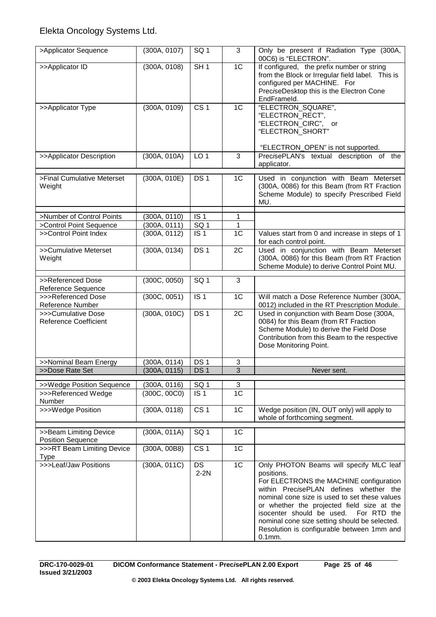| >Applicator Sequence                               | (300A, 0107) | SQ <sub>1</sub>   | 3              | Only be present if Radiation Type (300A,<br>00C6) is "ELECTRON".                                                                                                                                                                                                                                                                                                                               |
|----------------------------------------------------|--------------|-------------------|----------------|------------------------------------------------------------------------------------------------------------------------------------------------------------------------------------------------------------------------------------------------------------------------------------------------------------------------------------------------------------------------------------------------|
| >>Applicator ID                                    | (300A, 0108) | SH <sub>1</sub>   | 1 <sup>C</sup> | If configured, the prefix number or string<br>from the Block or Irregular field label. This is<br>configured per MACHINE. For<br>PreciseDesktop this is the Electron Cone<br>EndFrameld.                                                                                                                                                                                                       |
| >>Applicator Type                                  | (300A, 0109) | CS <sub>1</sub>   | 1 <sup>C</sup> | "ELECTRON_SQUARE",<br>"ELECTRON_RECT",<br>"ELECTRON_CIRC", or<br>"ELECTRON SHORT"                                                                                                                                                                                                                                                                                                              |
| >>Applicator Description                           | (300A, 010A) | LO <sub>1</sub>   | 3              | "ELECTRON_OPEN" is not supported.<br>PrecisePLAN's textual description of the<br>applicator.                                                                                                                                                                                                                                                                                                   |
|                                                    |              |                   |                |                                                                                                                                                                                                                                                                                                                                                                                                |
| >Final Cumulative Meterset<br>Weight               | (300A, 010E) | DS <sub>1</sub>   | 1C             | Used in conjunction with Beam Meterset<br>(300A, 0086) for this Beam (from RT Fraction<br>Scheme Module) to specify Prescribed Field<br>MU.                                                                                                                                                                                                                                                    |
|                                                    |              |                   |                |                                                                                                                                                                                                                                                                                                                                                                                                |
| >Number of Control Points                          | (300A, 0110) | IS <sub>1</sub>   | 1              |                                                                                                                                                                                                                                                                                                                                                                                                |
| >Control Point Sequence                            | (300A, 0111) | $\overline{SQ}$ 1 | 1              |                                                                                                                                                                                                                                                                                                                                                                                                |
| >>Control Point Index                              | (300A, 0112) | $\overline{1S}$ 1 | 1C             | Values start from 0 and increase in steps of 1<br>for each control point.                                                                                                                                                                                                                                                                                                                      |
| >>Cumulative Meterset<br>Weight                    | (300A, 0134) | DS <sub>1</sub>   | 2C             | Used in conjunction with Beam Meterset<br>(300A, 0086) for this Beam (from RT Fraction<br>Scheme Module) to derive Control Point MU.                                                                                                                                                                                                                                                           |
|                                                    |              |                   |                |                                                                                                                                                                                                                                                                                                                                                                                                |
| >>Referenced Dose<br>Reference Sequence            | (300C, 0050) | SQ <sub>1</sub>   | 3              |                                                                                                                                                                                                                                                                                                                                                                                                |
| >>>Referenced Dose<br>Reference Number             | (300C, 0051) | IS <sub>1</sub>   | 1 <sup>C</sup> | Will match a Dose Reference Number (300A,<br>0012) included in the RT Prescription Module.                                                                                                                                                                                                                                                                                                     |
| >>>Cumulative Dose<br><b>Reference Coefficient</b> | (300A, 010C) | DS <sub>1</sub>   | 2C             | Used in conjunction with Beam Dose (300A,<br>0084) for this Beam (from RT Fraction<br>Scheme Module) to derive the Field Dose<br>Contribution from this Beam to the respective<br>Dose Monitoring Point.                                                                                                                                                                                       |
| >>Nominal Beam Energy                              | (300A, 0114) | DS <sub>1</sub>   | 3              |                                                                                                                                                                                                                                                                                                                                                                                                |
| >>Dose Rate Set                                    | (300A, 0115) | DS <sub>1</sub>   | $\overline{3}$ | Never sent.                                                                                                                                                                                                                                                                                                                                                                                    |
|                                                    |              |                   |                |                                                                                                                                                                                                                                                                                                                                                                                                |
| >>Wedge Position Sequence                          | (300A, 0116) | SQ <sub>1</sub>   | 3              |                                                                                                                                                                                                                                                                                                                                                                                                |
| >>>Referenced Wedge<br>Number                      | (300C, 00C0) | IS <sub>1</sub>   | 1 <sup>C</sup> |                                                                                                                                                                                                                                                                                                                                                                                                |
| >>>Wedge Position                                  | (300A, 0118) | CS <sub>1</sub>   | 1C             | Wedge position (IN, OUT only) will apply to<br>whole of forthcoming segment.                                                                                                                                                                                                                                                                                                                   |
|                                                    |              |                   |                |                                                                                                                                                                                                                                                                                                                                                                                                |
| >>Beam Limiting Device<br><b>Position Sequence</b> | (300A, 011A) | SQ <sub>1</sub>   | 1 <sup>C</sup> |                                                                                                                                                                                                                                                                                                                                                                                                |
| >>>RT Beam Limiting Device<br><b>Type</b>          | (300A, 00B8) | CS <sub>1</sub>   | 1 <sup>C</sup> |                                                                                                                                                                                                                                                                                                                                                                                                |
| >>>Leaf/Jaw Positions                              | (300A, 011C) | DS<br>$2-2N$      | 1C             | Only PHOTON Beams will specify MLC leaf<br>positions.<br>For ELECTRONS the MACHINE configuration<br>within PrecisePLAN defines whether the<br>nominal cone size is used to set these values<br>or whether the projected field size at the<br>isocenter should be used. For RTD the<br>nominal cone size setting should be selected.<br>Resolution is configurable between 1mm and<br>$0.1$ mm. |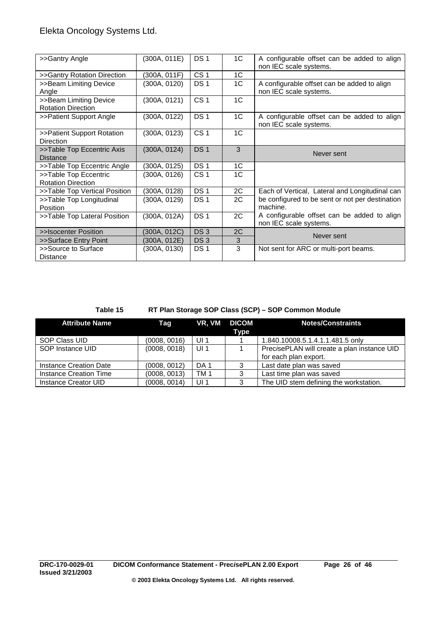| >>Gantry Angle                                      | (300A, 011E) | DS <sub>1</sub> | 1C             | A configurable offset can be added to align<br>non IEC scale systems. |
|-----------------------------------------------------|--------------|-----------------|----------------|-----------------------------------------------------------------------|
| >>Gantry Rotation Direction                         | (300A, 011F) | CS <sub>1</sub> | 1C             |                                                                       |
| >>Beam Limiting Device<br>Angle                     | (300A, 0120) | DS <sub>1</sub> | 1C             | A configurable offset can be added to align<br>non IEC scale systems. |
| >>Beam Limiting Device<br><b>Rotation Direction</b> | (300A, 0121) | CS <sub>1</sub> | 1C             |                                                                       |
| >>Patient Support Angle                             | (300A, 0122) | DS <sub>1</sub> | 1C             | A configurable offset can be added to align<br>non IEC scale systems. |
| >>Patient Support Rotation<br>Direction             | (300A, 0123) | CS <sub>1</sub> | 1 <sup>C</sup> |                                                                       |
| >>Table Top Eccentric Axis<br><b>Distance</b>       | (300A, 0124) | DS <sub>1</sub> | 3              | Never sent                                                            |
| >>Table Top Eccentric Angle                         | (300A, 0125) | <b>DS1</b>      | 1C             |                                                                       |
| >>Table Top Eccentric<br><b>Rotation Direction</b>  | (300A, 0126) | CS <sub>1</sub> | 1C             |                                                                       |
| >>Table Top Vertical Position                       | (300A, 0128) | DS <sub>1</sub> | 2C             | Each of Vertical, Lateral and Longitudinal can                        |
| >>Table Top Longitudinal<br>Position                | (300A, 0129) | DS <sub>1</sub> | 2C             | be configured to be sent or not per destination<br>machine.           |
| >>Table Top Lateral Position                        | (300A, 012A) | DS <sub>1</sub> | 2C             | A configurable offset can be added to align<br>non IEC scale systems. |
| >>Isocenter Position                                | (300A, 012C) | DS <sub>3</sub> | 2C             | Never sent                                                            |
| >>Surface Entry Point                               | (300A, 012E) | DS <sub>3</sub> | 3              |                                                                       |
| >>Source to Surface<br><b>Distance</b>              | (300A, 0130) | DS <sub>1</sub> | 3              | Not sent for ARC or multi-port beams.                                 |

## **Table 15 RT Plan Storage SOP Class (SCP) – SOP Common Module**

| <b>Attribute Name</b>  | Taq          |                 | VR, VM DICOM<br>Type | <b>Notes/Constraints</b>                                             |
|------------------------|--------------|-----------------|----------------------|----------------------------------------------------------------------|
| SOP Class UID          | (0008, 0016) | UI <sub>1</sub> |                      | 1.840.10008.5.1.4.1.1.481.5 only                                     |
| SOP Instance UID       | (0008, 0018) | UI <sub>1</sub> |                      | PrecisePLAN will create a plan instance UID<br>for each plan export. |
| Instance Creation Date | (0008, 0012) | DA 1            | 3                    | Last date plan was saved                                             |
| Instance Creation Time | (0008, 0013) | TM <sub>1</sub> | 3                    | Last time plan was saved                                             |
| Instance Creator UID   | (0008, 0014) | UI <sub>1</sub> | 3                    | The UID stem defining the workstation.                               |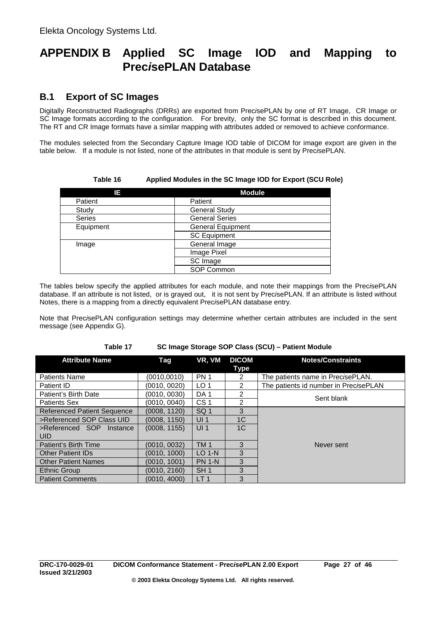# **APPENDIX B Applied SC Image IOD and Mapping to Prec***i***sePLAN Database**

# **B.1 Export of SC Images**

Digitally Reconstructed Radiographs (DRRs) are exported from Prec*i*sePLAN by one of RT Image, CR Image or SC Image formats according to the configuration. For brevity, only the SC format is described in this document. The RT and CR Image formats have a similar mapping with attributes added or removed to achieve conformance.

The modules selected from the Secondary Capture Image IOD table of DICOM for image export are given in the table below. If a module is not listed, none of the attributes in that module is sent by Prec*i*sePLAN.

**Table 16 Applied Modules in the SC Image IOD for Export (SCU Role)**

| IE.       | <b>Module</b>            |  |  |  |
|-----------|--------------------------|--|--|--|
| Patient   | Patient                  |  |  |  |
| Study     | <b>General Study</b>     |  |  |  |
| Series    | <b>General Series</b>    |  |  |  |
| Equipment | <b>General Equipment</b> |  |  |  |
|           | <b>SC Equipment</b>      |  |  |  |
| Image     | General Image            |  |  |  |
|           | Image Pixel              |  |  |  |
|           | SC Image                 |  |  |  |
|           | SOP Common               |  |  |  |

The tables below specify the applied attributes for each module, and note their mappings from the Prec*i*sePLAN database. If an attribute is not listed, or is grayed out, it is not sent by Prec*i*sePLAN. If an attribute is listed without Notes, there is a mapping from a directly equivalent Prec*i*sePLAN database entry.

Note that Prec*i*sePLAN configuration settings may determine whether certain attributes are included in the sent message (see Appendix G).

**Table 17 SC Image Storage SOP Class (SCU) – Patient Module**

| <b>Attribute Name</b>              | Tag          | VR, VM          | <b>DICOM</b>   | <b>Notes/Constraints</b>              |
|------------------------------------|--------------|-----------------|----------------|---------------------------------------|
|                                    |              |                 | Type           |                                       |
| <b>Patients Name</b>               | (0010, 0010) | <b>PN 1</b>     | 2              | The patients name in PrecisePLAN.     |
| Patient ID                         | (0010, 0020) | LO <sub>1</sub> | 2              | The patients id number in PrecisePLAN |
| Patient's Birth Date               | (0010, 0030) | DA <sub>1</sub> | 2              | Sent blank                            |
| <b>Patients Sex</b>                | (0010, 0040) | CS <sub>1</sub> | 2              |                                       |
| <b>Referenced Patient Sequence</b> | (0008, 1120) | SQ <sub>1</sub> | 3              |                                       |
| >Referenced SOP Class UID          | (0008, 1150) | UI <sub>1</sub> | 1 <sup>C</sup> |                                       |
| >Referenced SOP Instance           | (0008, 1155) | UI <sub>1</sub> | 1 <sup>C</sup> |                                       |
| <b>UID</b>                         |              |                 |                |                                       |
| Patient's Birth Time               | (0010, 0032) | <b>TM1</b>      | 3              | Never sent                            |
| <b>Other Patient IDs</b>           | (0010, 1000) | $LO$ 1-N        | 3              |                                       |
| <b>Other Patient Names</b>         | (0010.1001)  | <b>PN 1-N</b>   | 3              |                                       |
| <b>Ethnic Group</b>                | (0010, 2160) | SH <sub>1</sub> | 3              |                                       |
| <b>Patient Comments</b>            | (0010, 4000) | LT <sub>1</sub> | 3              |                                       |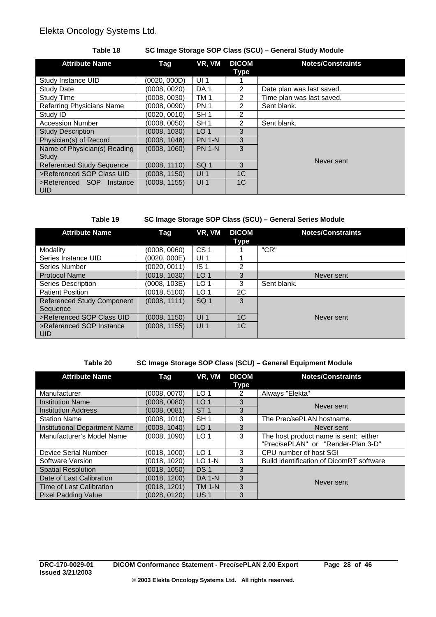## **Table 18 SC Image Storage SOP Class (SCU) – General Study Module**

| <b>Attribute Name</b>                  | Tag          | VR, VM          | <b>DICOM</b><br>Type | <b>Notes/Constraints</b>  |
|----------------------------------------|--------------|-----------------|----------------------|---------------------------|
| Study Instance UID                     | (0020, 000D) | UI <sub>1</sub> |                      |                           |
| <b>Study Date</b>                      | (0008, 0020) | DA <sub>1</sub> | $\overline{2}$       | Date plan was last saved. |
| Study Time                             | (0008, 0030) | TM <sub>1</sub> | 2                    | Time plan was last saved. |
| <b>Referring Physicians Name</b>       | (0008, 0090) | <b>PN 1</b>     | $\mathcal{P}$        | Sent blank.               |
| Study ID                               | (0020, 0010) | SH <sub>1</sub> | $\overline{2}$       |                           |
| <b>Accession Number</b>                | (0008, 0050) | SH <sub>1</sub> | 2                    | Sent blank.               |
| <b>Study Description</b>               | (0008, 1030) | LO <sub>1</sub> | 3                    |                           |
| Physician(s) of Record                 | (0008, 1048) | <b>PN 1-N</b>   | 3                    |                           |
| Name of Physician(s) Reading<br>Study  | (0008, 1060) | <b>PN 1-N</b>   | 3                    |                           |
| <b>Referenced Study Sequence</b>       | (0008, 1110) | SQ <sub>1</sub> | 3                    | Never sent                |
| >Referenced SOP Class UID              | (0008, 1150) | UI <sub>1</sub> | 1 <sup>C</sup>       |                           |
| >Referenced SOP Instance<br><b>UID</b> | (0008, 1155) | UI <sub>1</sub> | 1 <sup>C</sup>       |                           |

## **Table 19 SC Image Storage SOP Class (SCU) – General Series Module**

| <b>Attribute Name</b>             | Tag          | VR, VM          | <b>DICOM</b>   | <b>Notes/Constraints</b> |
|-----------------------------------|--------------|-----------------|----------------|--------------------------|
|                                   |              |                 | Type           |                          |
| Modality                          | (0008, 0060) | CS <sub>1</sub> |                | "CR"                     |
| Series Instance UID               | (0020, 000E) | UI <sub>1</sub> |                |                          |
| Series Number                     | (0020, 0011) | IS <sub>1</sub> | 2              |                          |
| <b>Protocol Name</b>              | (0018, 1030) | LO <sub>1</sub> | 3              | Never sent               |
| Series Description                | (0008, 103E) | LO <sub>1</sub> | 3              | Sent blank.              |
| <b>Patient Position</b>           | (0018, 5100) | LO <sub>1</sub> | 2C             |                          |
| <b>Referenced Study Component</b> | (0008, 1111) | SQ <sub>1</sub> | 3              |                          |
| Sequence                          |              |                 |                |                          |
| >Referenced SOP Class UID         | (0008, 1150) | UI <sub>1</sub> | 1 <sup>C</sup> | Never sent               |
| >Referenced SOP Instance          | (0008, 1155) | UI <sub>1</sub> | 1C             |                          |
| <b>UID</b>                        |              |                 |                |                          |

## **Table 20 SC Image Storage SOP Class (SCU) – General Equipment Module**

| <b>Attribute Name</b>                | Tag          | VR, VM          | <b>DICOM</b><br>Type | <b>Notes/Constraints</b>                                                    |
|--------------------------------------|--------------|-----------------|----------------------|-----------------------------------------------------------------------------|
| Manufacturer                         | (0008, 0070) | LO <sub>1</sub> | $\overline{2}$       | Always "Elekta"                                                             |
| <b>Institution Name</b>              | (0008, 0080) | LO <sub>1</sub> | 3                    | Never sent                                                                  |
| <b>Institution Address</b>           | (0008, 0081) | ST <sub>1</sub> | 3                    |                                                                             |
| <b>Station Name</b>                  | (0008, 1010) | SH <sub>1</sub> | 3                    | The Prec <i>i</i> sePLAN hostname.                                          |
| <b>Institutional Department Name</b> | (0008, 1040) | LO <sub>1</sub> | 3                    | Never sent                                                                  |
| Manufacturer's Model Name            | (0008, 1090) | LO <sub>1</sub> | 3                    | The host product name is sent: either<br>"PrecisePLAN" or "Render-Plan 3-D" |
| Device Serial Number                 | (0018, 1000) | LO <sub>1</sub> | 3                    | CPU number of host SGI                                                      |
| Software Version                     | (0018, 1020) | $LO$ 1-N        | 3                    | Build identification of DicomRT software                                    |
| <b>Spatial Resolution</b>            | (0018, 1050) | DS <sub>1</sub> | 3                    |                                                                             |
| Date of Last Calibration             | (0018, 1200) | <b>DA 1-N</b>   | 3                    | Never sent                                                                  |
| Time of Last Calibration             | (0018, 1201) | <b>TM 1-N</b>   | 3                    |                                                                             |
| <b>Pixel Padding Value</b>           | (0028, 0120) | US <sub>1</sub> | 3                    |                                                                             |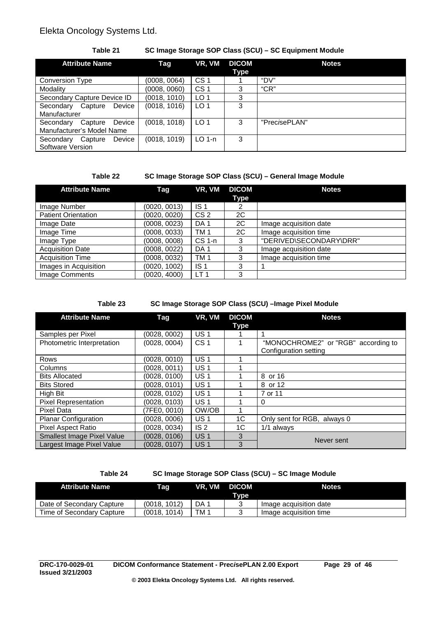## **Table 21 SC Image Storage SOP Class (SCU) – SC Equipment Module**

| <b>Attribute Name</b>                                       | Tag          | VR, VM          | <b>DICOM</b><br>Type | <b>Notes</b>           |
|-------------------------------------------------------------|--------------|-----------------|----------------------|------------------------|
| Conversion Type                                             | (0008, 0064) | CS <sub>1</sub> |                      | "DV"                   |
| Modality                                                    | (0008, 0060) | CS <sub>1</sub> |                      | C'CR''                 |
| Secondary Capture Device ID                                 | (0018, 1010) | LO <sub>1</sub> | 3                    |                        |
| Secondary<br>Device<br>Capture<br>Manufacturer              | (0018, 1016) | LO <sub>1</sub> | 3                    |                        |
| Device<br>Secondary<br>Capture<br>Manufacturer's Model Name | (0018, 1018) | LO <sub>1</sub> | 3                    | "Prec <i>i</i> sePLAN" |
| <b>Device</b><br>Secondary<br>Capture<br>Software Version   | (0018, 1019) | $LO$ 1-n        | 3                    |                        |

### **Table 22 SC Image Storage SOP Class (SCU) – General Image Module**

| <b>Attribute Name</b>      | Tag          | VR, VM          | <b>DICOM</b> | <b>Notes</b>            |
|----------------------------|--------------|-----------------|--------------|-------------------------|
|                            |              |                 | Type         |                         |
| Image Number               | (0020, 0013) | IS <sub>1</sub> | 2            |                         |
| <b>Patient Orientation</b> | (0020, 0020) | CS <sub>2</sub> | 2C           |                         |
| Image Date                 | (0008, 0023) | DA <sub>1</sub> | 2C           | Image acquisition date  |
| Image Time                 | (0008, 0033) | TM 1            | 2C           | Image acquisition time  |
| Image Type                 | (0008, 0008) | $CS1-n$         | 3            | "DERIVED\SECONDARY\DRR" |
| <b>Acquisition Date</b>    | (0008, 0022) | DA <sub>1</sub> | 3            | Image acquisition date  |
| <b>Acquisition Time</b>    | (0008, 0032) | TM 1            | 3            | Image acquisition time  |
| Images in Acquisition      | (0020, 1002) | IS <sub>1</sub> | 3            |                         |
| Image Comments             | (0020, 4000) | LT <sub>1</sub> | 3            |                         |

## **Table 23 SC Image Storage SOP Class (SCU) –Image Pixel Module**

| <b>Attribute Name</b>             | Tag          | VR, VM          | <b>DICOM</b>   | <b>Notes</b>                        |
|-----------------------------------|--------------|-----------------|----------------|-------------------------------------|
|                                   |              |                 | <b>Type</b>    |                                     |
| Samples per Pixel                 | (0028, 0002) | <b>US1</b>      |                |                                     |
| Photometric Interpretation        | (0028, 0004) | CS <sub>1</sub> |                | "MONOCHROME2" or "RGB" according to |
|                                   |              |                 |                | Configuration setting               |
| Rows                              | (0028, 0010) | <b>US1</b>      |                |                                     |
| Columns                           | (0028, 0011) | US <sub>1</sub> |                |                                     |
| <b>Bits Allocated</b>             | (0028, 0100) | <b>US1</b>      |                | 8 or 16                             |
| <b>Bits Stored</b>                | (0028, 0101) | <b>US1</b>      |                | 8 or 12                             |
| High Bit                          | (0028, 0102) | US <sub>1</sub> |                | 7 or 11                             |
| <b>Pixel Representation</b>       | (0028, 0103) | <b>US1</b>      |                | 0                                   |
| Pixel Data                        | (7FE0, 0010) | OW/OB           |                |                                     |
| <b>Planar Configuration</b>       | (0028, 0006) | <b>US1</b>      | 1C             | Only sent for RGB, always 0         |
| <b>Pixel Aspect Ratio</b>         | (0028, 0034) | IS <sub>2</sub> | 1 <sup>C</sup> | 1/1 always                          |
| <b>Smallest Image Pixel Value</b> | (0028, 0106) | US <sub>1</sub> | 3              | Never sent                          |
| Largest Image Pixel Value         | (0028, 0107) | US <sub>1</sub> | 3              |                                     |

## **Table 24 SC Image Storage SOP Class (SCU) – SC Image Module**

| <b>Attribute Name</b>     | Tag          |      | VR. VM DICOM<br>Type | <b>Notes</b>           |
|---------------------------|--------------|------|----------------------|------------------------|
| Date of Secondary Capture | (0018, 1012) | DA 1 |                      | Image acquisition date |
| Time of Secondary Capture | (0018, 1014) | TM 1 |                      | Image acquisition time |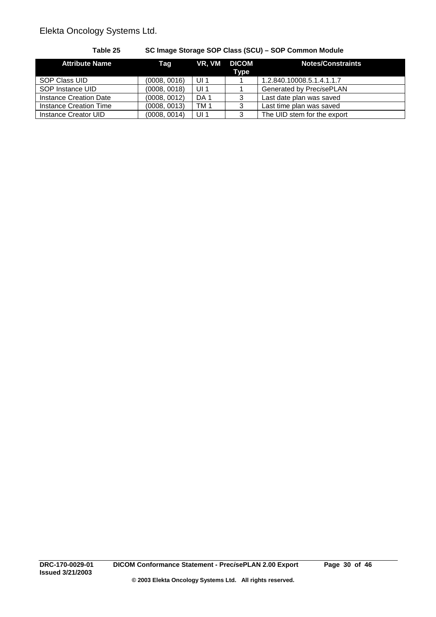| <b>Attribute Name</b>  | Taq          |                 | VR, VM DICOM<br><b>Type</b> | <b>Notes/Constraints</b>    |
|------------------------|--------------|-----------------|-----------------------------|-----------------------------|
| SOP Class UID          | (0008, 0016) | UI <sub>1</sub> |                             | 1.2.840.10008.5.1.4.1.1.7   |
| SOP Instance UID       | (0008, 0018) | UI <sub>1</sub> |                             | Generated by PrecisePLAN    |
| Instance Creation Date | (0008, 0012) | DA <sub>1</sub> | 3                           | Last date plan was saved    |
| Instance Creation Time | (0008, 0013) | TM <sub>1</sub> | 3                           | Last time plan was saved    |
| Instance Creator UID   | (0008, 0014) | UI <sub>1</sub> | 3                           | The UID stem for the export |

**Table 25 SC Image Storage SOP Class (SCU) – SOP Common Module**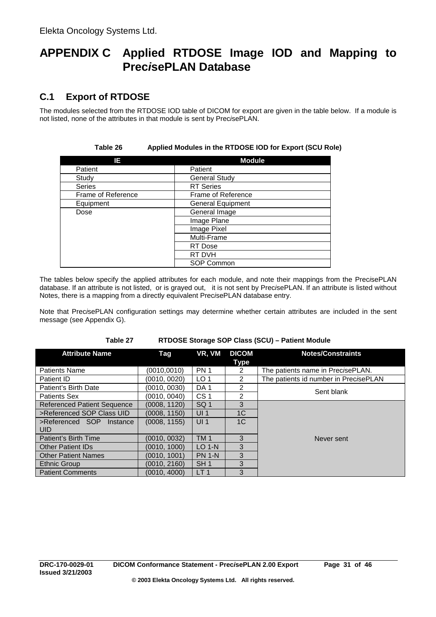# **APPENDIX C Applied RTDOSE Image IOD and Mapping to Prec***i***sePLAN Database**

# **C.1 Export of RTDOSE**

The modules selected from the RTDOSE IOD table of DICOM for export are given in the table below. If a module is not listed, none of the attributes in that module is sent by Prec*i*sePLAN.

| IE.                | <b>Module</b>            |
|--------------------|--------------------------|
| Patient            | Patient                  |
| Study              | <b>General Study</b>     |
| <b>Series</b>      | <b>RT</b> Series         |
| Frame of Reference | Frame of Reference       |
| Equipment          | <b>General Equipment</b> |
| Dose               | General Image            |
|                    | Image Plane              |
|                    | Image Pixel              |
|                    | Multi-Frame              |
|                    | RT Dose                  |
|                    | RT DVH                   |
|                    | SOP Common               |

## **Table 26 Applied Modules in the RTDOSE IOD for Export (SCU Role)**

The tables below specify the applied attributes for each module, and note their mappings from the Prec*i*sePLAN database. If an attribute is not listed, or is grayed out, it is not sent by Prec*i*sePLAN. If an attribute is listed without Notes, there is a mapping from a directly equivalent Prec*i*sePLAN database entry.

Note that Prec*i*sePLAN configuration settings may determine whether certain attributes are included in the sent message (see Appendix G).

#### **Table 27 RTDOSE Storage SOP Class (SCU) – Patient Module**

| <b>Attribute Name</b>              | Tag          | VR, VM          | <b>DICOM</b>  | <b>Notes/Constraints</b>              |
|------------------------------------|--------------|-----------------|---------------|---------------------------------------|
|                                    |              |                 | Type          |                                       |
| <b>Patients Name</b>               | (0010,0010)  | <b>PN1</b>      | 2             | The patients name in PrecisePLAN.     |
| Patient ID                         | (0010, 0020) | LO <sub>1</sub> | $\mathcal{P}$ | The patients id number in PrecisePLAN |
| Patient's Birth Date               | (0010, 0030) | DA <sub>1</sub> | 2             |                                       |
| Patients Sex                       | (0010, 0040) | CS <sub>1</sub> | $\mathcal{P}$ | Sent blank                            |
| <b>Referenced Patient Sequence</b> | (0008, 1120) | SQ <sub>1</sub> | 3             |                                       |
| >Referenced SOP Class UID          | (0008, 1150) | UI <sub>1</sub> | 1C            |                                       |
| >Referenced SOP Instance           | (0008, 1155) | UI <sub>1</sub> | 1C            |                                       |
| <b>UID</b>                         |              |                 |               |                                       |
| Patient's Birth Time               | (0010, 0032) | <b>TM1</b>      | 3             | Never sent                            |
| <b>Other Patient IDs</b>           | (0010.1000)  | $LO 1-N$        | 3             |                                       |
| <b>Other Patient Names</b>         | (0010.1001)  | <b>PN 1-N</b>   | 3             |                                       |
| Ethnic Group                       | (0010.2160)  | SH <sub>1</sub> | 3             |                                       |
| <b>Patient Comments</b>            | (0010, 4000) | LT <sub>1</sub> | 3             |                                       |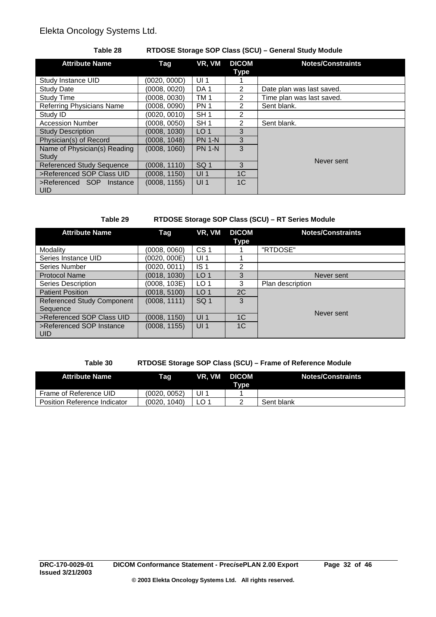## **Table 28 RTDOSE Storage SOP Class (SCU) – General Study Module**

| <b>Attribute Name</b>            | Tag          | VR, VM          | <b>DICOM</b>   | <b>Notes/Constraints</b>  |
|----------------------------------|--------------|-----------------|----------------|---------------------------|
|                                  |              |                 | Type           |                           |
| Study Instance UID               | (0020, 000D) | UI <sub>1</sub> |                |                           |
| <b>Study Date</b>                | (0008, 0020) | DA <sub>1</sub> | $\overline{2}$ | Date plan was last saved. |
| <b>Study Time</b>                | (0008, 0030) | TM <sub>1</sub> | $\mathcal{P}$  | Time plan was last saved. |
| <b>Referring Physicians Name</b> | (0008, 0090) | <b>PN 1</b>     | $\mathcal{P}$  | Sent blank.               |
| Study ID                         | (0020.0010)  | SH <sub>1</sub> | $\overline{2}$ |                           |
| <b>Accession Number</b>          | (0008, 0050) | SH <sub>1</sub> | $\overline{2}$ | Sent blank.               |
| <b>Study Description</b>         | (0008, 1030) | LO <sub>1</sub> | 3              |                           |
| Physician(s) of Record           | (0008, 1048) | <b>PN 1-N</b>   | 3              |                           |
| Name of Physician(s) Reading     | (0008, 1060) | <b>PN 1-N</b>   | 3              |                           |
| Study                            |              |                 |                | Never sent                |
| <b>Referenced Study Sequence</b> | (0008, 1110) | SQ <sub>1</sub> | 3              |                           |
| >Referenced SOP Class UID        | (0008, 1150) | UI <sub>1</sub> | 1 <sup>C</sup> |                           |
| >Referenced SOP<br>Instance      | (0008, 1155) | UI <sub>1</sub> | 1 <sup>C</sup> |                           |
| <b>UID</b>                       |              |                 |                |                           |

## **Table 29 RTDOSE Storage SOP Class (SCU) – RT Series Module**

| <b>Attribute Name</b>             | Tag          | VR, VM          | <b>DICOM</b>   | <b>Notes/Constraints</b> |
|-----------------------------------|--------------|-----------------|----------------|--------------------------|
|                                   |              |                 | Type           |                          |
| Modality                          | (0008, 0060) | CS <sub>1</sub> |                | "RTDOSE"                 |
| Series Instance UID               | (0020, 000E) | UI <sub>1</sub> |                |                          |
| Series Number                     | (0020, 0011) | IS <sub>1</sub> | 2              |                          |
| <b>Protocol Name</b>              | (0018, 1030) | LO <sub>1</sub> | 3              | Never sent               |
| Series Description                | (0008, 103E) | LO <sub>1</sub> | 3              | Plan description         |
| <b>Patient Position</b>           | (0018, 5100) | LO <sub>1</sub> | 2C             |                          |
| <b>Referenced Study Component</b> | (0008, 1111) | SQ <sub>1</sub> | 3              |                          |
| Sequence                          |              |                 |                | Never sent               |
| >Referenced SOP Class UID         | (0008, 1150) | UI <sub>1</sub> | 1 <sup>C</sup> |                          |
| >Referenced SOP Instance          | (0008, 1155) | UI <sub>1</sub> | 1 <sup>C</sup> |                          |
| <b>UID</b>                        |              |                 |                |                          |

## **Table 30 RTDOSE Storage SOP Class (SCU) – Frame of Reference Module**

| <b>Attribute Name</b>        | Tag             | VR. VM | <b>DICOM</b><br>Type | Notes/Constraints |
|------------------------------|-----------------|--------|----------------------|-------------------|
| Frame of Reference UID       | (0020. 0052)    | ' ال   |                      |                   |
| Position Reference Indicator | 1040)<br>(0020. |        |                      | Sent blank        |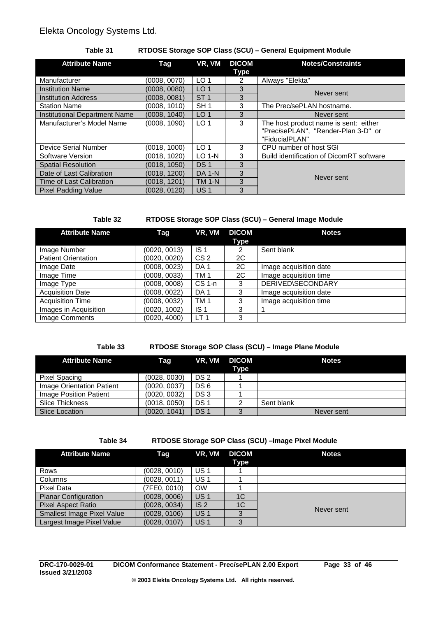## **Table 31 RTDOSE Storage SOP Class (SCU) – General Equipment Module**

| <b>Attribute Name</b>                | Tag          | VR, VM          | <b>DICOM</b><br>Type | <b>Notes/Constraints</b>                 |
|--------------------------------------|--------------|-----------------|----------------------|------------------------------------------|
| Manufacturer                         | (0008, 0070) | LO <sub>1</sub> | 2                    | Always "Elekta"                          |
| <b>Institution Name</b>              | (0008, 0080) | LO <sub>1</sub> | 3                    | Never sent                               |
| <b>Institution Address</b>           | (0008, 0081) | ST <sub>1</sub> | 3                    |                                          |
| <b>Station Name</b>                  | (0008.1010)  | SH <sub>1</sub> | 3                    | The PrecisePLAN hostname.                |
| <b>Institutional Department Name</b> | (0008, 1040) | LO <sub>1</sub> | 3                    | Never sent                               |
| Manufacturer's Model Name            | (0008, 1090) | LO <sub>1</sub> | 3                    | The host product name is sent: either    |
|                                      |              |                 |                      | "PrecisePLAN", "Render-Plan 3-D" or      |
|                                      |              |                 |                      | "FiducialPLAN"                           |
| Device Serial Number                 | (0018, 1000) | LO <sub>1</sub> | 3                    | CPU number of host SGI                   |
| Software Version                     | (0018, 1020) | $LO 1-N$        | 3                    | Build identification of DicomRT software |
| <b>Spatial Resolution</b>            | (0018, 1050) | DS <sub>1</sub> | 3                    |                                          |
| Date of Last Calibration             | (0018, 1200) | <b>DA 1-N</b>   | 3                    | Never sent                               |
| Time of Last Calibration             | (0018, 1201) | <b>TM 1-N</b>   | 3                    |                                          |
| <b>Pixel Padding Value</b>           | (0028, 0120) | US <sub>1</sub> | 3                    |                                          |

## **Table 32 RTDOSE Storage SOP Class (SCU) – General Image Module**

| <b>Attribute Name</b>      | Tag          | VR, VM          | <b>DICOM</b> | <b>Notes</b>           |
|----------------------------|--------------|-----------------|--------------|------------------------|
|                            |              |                 | <b>Type</b>  |                        |
| Image Number               | (0020, 0013) | IS <sub>1</sub> | 2            | Sent blank             |
| <b>Patient Orientation</b> | (0020, 0020) | CS <sub>2</sub> | 2C           |                        |
| Image Date                 | (0008, 0023) | DA <sub>1</sub> | 2C           | Image acquisition date |
| Image Time                 | (0008, 0033) | TM 1            | 2C           | Image acquisition time |
| Image Type                 | (0008, 0008) | $CS1-n$         | 3            | DERIVED\SECONDARY      |
| <b>Acquisition Date</b>    | (0008, 0022) | DA <sub>1</sub> | 3            | Image acquisition date |
| <b>Acquisition Time</b>    | (0008, 0032) | TM 1            | 3            | Image acquisition time |
| Images in Acquisition      | (0020, 1002) | IS <sub>1</sub> | 3            |                        |
| Image Comments             | (0020, 4000) | LT <sub>1</sub> | 3            |                        |

## **Table 33 RTDOSE Storage SOP Class (SCU) – Image Plane Module**

| <b>Attribute Name</b>     | Taq          |                 | VR, VM DICOM | <b>Notes</b> |
|---------------------------|--------------|-----------------|--------------|--------------|
|                           |              |                 | Type         |              |
| Pixel Spacing             | (0028, 0030) | DS 2            |              |              |
| Image Orientation Patient | (0020, 0037) | DS 6            |              |              |
| Image Position Patient    | (0020, 0032) | DS 3            |              |              |
| <b>Slice Thickness</b>    | (0018, 0050) | DS <sub>1</sub> |              | Sent blank   |
| Slice Location            | (0020, 1041) | DS <sub>1</sub> |              | Never sent   |

## **Table 34 RTDOSE Storage SOP Class (SCU) –Image Pixel Module**

| <b>Attribute Name</b>             | Tag          | VR, VM          | <b>DICOM</b><br>Type | <b>Notes</b> |
|-----------------------------------|--------------|-----------------|----------------------|--------------|
| Rows                              | (0028, 0010) | <b>US1</b>      |                      |              |
| Columns                           | (0028, 0011) | <b>US1</b>      |                      |              |
| Pixel Data                        | (7FE0, 0010) | <b>OW</b>       |                      |              |
| <b>Planar Configuration</b>       | (0028, 0006) | US <sub>1</sub> | 1C                   |              |
| <b>Pixel Aspect Ratio</b>         | (0028, 0034) | IS <sub>2</sub> | 1C                   | Never sent   |
| <b>Smallest Image Pixel Value</b> | (0028, 0106) | US <sub>1</sub> | $\Omega$             |              |
| Largest Image Pixel Value         | (0028, 0107) | <b>US1</b>      | 3                    |              |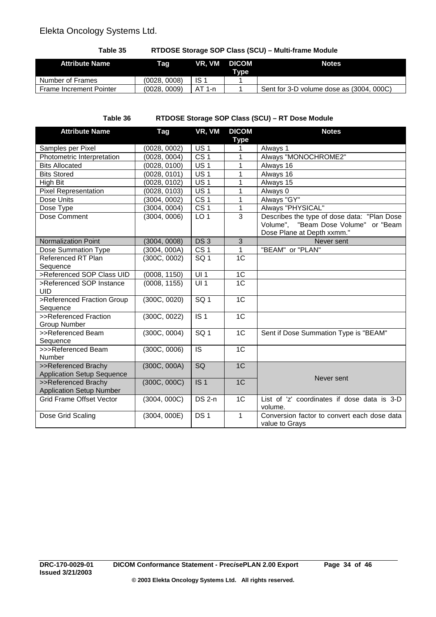**Table 35 RTDOSE Storage SOP Class (SCU) – Multi-frame Module**

| <b>Attribute Name</b>          | Tag          | VR. VM   | <b>DICOM</b><br>Tvpe | <b>Notes</b>                             |
|--------------------------------|--------------|----------|----------------------|------------------------------------------|
| Number of Frames               | (0028, 0008) | ∃S :     |                      |                                          |
| <b>Frame Increment Pointer</b> | (0028, 0009) | $AT 1-n$ |                      | Sent for 3-D volume dose as (3004, 000C) |

**Table 36 RTDOSE Storage SOP Class (SCU) – RT Dose Module**

| Samples per Pixel<br>Photometric Interpretation<br><b>Bits Allocated</b> | (0028, 0002)<br>(0028, 0004)<br>(0028, 0100)<br>(0028, 0101)<br>(0028, 0102)<br>(0028, 0103) | $\overline{US}$ 1<br>CS <sub>1</sub><br><b>US1</b><br>US <sub>1</sub> | <b>Type</b><br>1<br>$\overline{1}$<br>1 | Always 1<br>Always "MONOCHROME2"<br>Always 16                 |
|--------------------------------------------------------------------------|----------------------------------------------------------------------------------------------|-----------------------------------------------------------------------|-----------------------------------------|---------------------------------------------------------------|
|                                                                          |                                                                                              |                                                                       |                                         |                                                               |
|                                                                          |                                                                                              |                                                                       |                                         |                                                               |
|                                                                          |                                                                                              |                                                                       |                                         |                                                               |
| <b>Bits Stored</b>                                                       |                                                                                              |                                                                       | 1                                       | Always 16                                                     |
| High Bit                                                                 |                                                                                              | US <sub>1</sub>                                                       | 1                                       | Always 15                                                     |
| <b>Pixel Representation</b>                                              |                                                                                              | <b>US1</b>                                                            | 1                                       | Always 0                                                      |
| Dose Units                                                               | (3004, 0002)                                                                                 | CS <sub>1</sub>                                                       | 1                                       | Always "GY"                                                   |
| Dose Type                                                                | (3004, 0004)                                                                                 | CS <sub>1</sub>                                                       | 1                                       | Always "PHYSICAL"                                             |
| Dose Comment                                                             | (3004, 0006)                                                                                 | LO <sub>1</sub>                                                       | 3                                       | Describes the type of dose data: "Plan Dose                   |
|                                                                          |                                                                                              |                                                                       |                                         | Volume", "Beam Dose Volume" or "Beam                          |
|                                                                          |                                                                                              |                                                                       |                                         | Dose Plane at Depth xxmm."                                    |
| <b>Normalization Point</b>                                               | (3004, 0008)                                                                                 | DS <sub>3</sub>                                                       | 3                                       | Never sent                                                    |
| Dose Summation Type                                                      | (3004, 000A)                                                                                 | CS <sub>1</sub>                                                       | 1                                       | "BEAM" or "PLAN"                                              |
| Referenced RT Plan<br>Sequence                                           | (300C, 0002)                                                                                 | SQ <sub>1</sub>                                                       | 1 <sup>C</sup>                          |                                                               |
| >Referenced SOP Class UID                                                | (0008, 1150)                                                                                 | $\overline{UI1}$                                                      | 1 <sup>C</sup>                          |                                                               |
| >Referenced SOP Instance                                                 | (0008, 1155)                                                                                 | $\overline{UI1}$                                                      | 1 <sup>C</sup>                          |                                                               |
| <b>UID</b>                                                               |                                                                                              |                                                                       |                                         |                                                               |
| >Referenced Fraction Group                                               | (300C, 0020)                                                                                 | SG <sub>1</sub>                                                       | 1C                                      |                                                               |
| Sequence                                                                 |                                                                                              |                                                                       |                                         |                                                               |
| >>Referenced Fraction<br><b>Group Number</b>                             | (300C, 0022)                                                                                 | IS <sub>1</sub>                                                       | 1C                                      |                                                               |
| >>Referenced Beam                                                        | (300C, 0004)                                                                                 | SQ <sub>1</sub>                                                       | 1 <sup>C</sup>                          | Sent if Dose Summation Type is "BEAM"                         |
| Sequence                                                                 |                                                                                              |                                                                       |                                         |                                                               |
| >>>Referenced Beam<br><b>Number</b>                                      | (300C, 0006)                                                                                 | <b>IS</b>                                                             | 1 <sup>C</sup>                          |                                                               |
| >>Referenced Brachy                                                      | (300C, 000A)                                                                                 | SQ                                                                    | 1 <sup>C</sup>                          |                                                               |
| <b>Application Setup Sequence</b>                                        |                                                                                              |                                                                       |                                         | Never sent                                                    |
| >>Referenced Brachy                                                      | (300C, 000C)                                                                                 | IS <sub>1</sub>                                                       | 1C                                      |                                                               |
| <b>Application Setup Number</b>                                          |                                                                                              |                                                                       |                                         |                                                               |
| <b>Grid Frame Offset Vector</b>                                          | (3004, 000C)                                                                                 | $DS2-n$                                                               | 1C                                      | List of 'z' coordinates if dose data is 3-D<br>volume.        |
| Dose Grid Scaling                                                        | (3004, 000E)                                                                                 | DS <sub>1</sub>                                                       | 1                                       | Conversion factor to convert each dose data<br>value to Grays |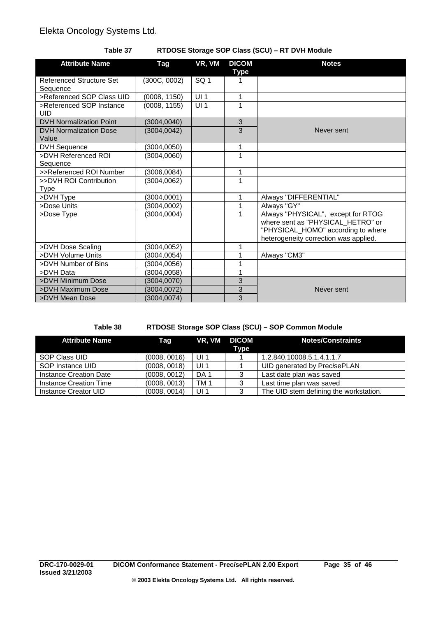## **Table 37 RTDOSE Storage SOP Class (SCU) – RT DVH Module**

| <b>Attribute Name</b>                       | Tag          | VR, VM          | <b>DICOM</b><br>Type | <b>Notes</b>                                                                                                                                           |
|---------------------------------------------|--------------|-----------------|----------------------|--------------------------------------------------------------------------------------------------------------------------------------------------------|
| <b>Referenced Structure Set</b><br>Sequence | (300C, 0002) | SQ <sub>1</sub> |                      |                                                                                                                                                        |
| >Referenced SOP Class UID                   | (0008, 1150) | UI1             | 1                    |                                                                                                                                                        |
| >Referenced SOP Instance<br><b>UID</b>      | (0008, 1155) | UI <sub>1</sub> | 1                    |                                                                                                                                                        |
| <b>DVH Normalization Point</b>              | (3004, 0040) |                 | 3                    |                                                                                                                                                        |
| <b>DVH Normalization Dose</b><br>Value      | (3004, 0042) |                 | $\overline{3}$       | Never sent                                                                                                                                             |
| <b>DVH Sequence</b>                         | (3004, 0050) |                 | 1                    |                                                                                                                                                        |
| >DVH Referenced ROI<br>Sequence             | (3004,0060)  |                 | 1                    |                                                                                                                                                        |
| >>Referenced ROI Number                     | (3006, 0084) |                 | 1                    |                                                                                                                                                        |
| >>DVH ROI Contribution<br><b>Type</b>       | (3004, 0062) |                 | 1                    |                                                                                                                                                        |
| >DVH Type                                   | (3004,0001)  |                 | 1                    | Always "DIFFERENTIAL"                                                                                                                                  |
| >Dose Units                                 | (3004, 0002) |                 | 1                    | Always "GY"                                                                                                                                            |
| >Dose Type                                  | (3004.0004)  |                 | 1                    | Always "PHYSICAL", except for RTOG<br>where sent as "PHYSICAL_HETRO" or<br>"PHYSICAL_HOMO" according to where<br>heterogeneity correction was applied. |
| >DVH Dose Scaling                           | (3004, 0052) |                 | 1                    |                                                                                                                                                        |
| >DVH Volume Units                           | (3004,0054)  |                 | 1                    | Always "CM3"                                                                                                                                           |
| >DVH Number of Bins                         | (3004, 0056) |                 | 1                    |                                                                                                                                                        |
| >DVH Data                                   | (3004,0058)  |                 | 1                    |                                                                                                                                                        |
| >DVH Minimum Dose                           | (3004,0070)  |                 | 3                    |                                                                                                                                                        |
| >DVH Maximum Dose                           | (3004,0072)  |                 | 3                    | Never sent                                                                                                                                             |
| >DVH Mean Dose                              | (3004, 0074) |                 | 3                    |                                                                                                                                                        |

## **Table 38 RTDOSE Storage SOP Class (SCU) – SOP Common Module**

| <b>Attribute Name</b>  | Taq          |                 | VR. VM DICOM<br>Type | <b>Notes/Constraints</b>               |
|------------------------|--------------|-----------------|----------------------|----------------------------------------|
| SOP Class UID          | (0008, 0016) | UI <sub>1</sub> |                      | 1.2.840.10008.5.1.4.1.1.7              |
| SOP Instance UID       | (0008, 0018) | UI <sub>1</sub> |                      | UID generated by PrecisePLAN           |
| Instance Creation Date | (0008, 0012) | DA <sub>1</sub> |                      | Last date plan was saved               |
| Instance Creation Time | (0008, 0013) | TM <sub>1</sub> | 3                    | Last time plan was saved               |
| Instance Creator UID   | (0008, 0014) | UI <sub>1</sub> | 3                    | The UID stem defining the workstation. |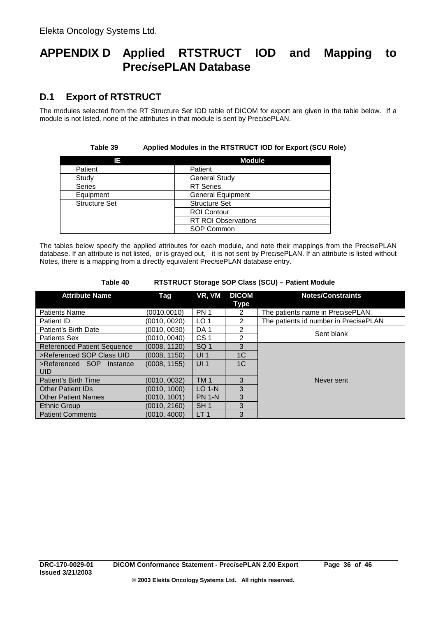# **APPENDIX D Applied RTSTRUCT IOD and Mapping to Prec***i***sePLAN Database**

# **D.1 Export of RTSTRUCT**

The modules selected from the RT Structure Set IOD table of DICOM for export are given in the table below. If a module is not listed, none of the attributes in that module is sent by Prec*i*sePLAN.

| Table 39             | Applied Modules in the RTSTRUCT IOD for Export (SCU Role) |  |
|----------------------|-----------------------------------------------------------|--|
| ΙE                   | <b>Module</b>                                             |  |
| Patient              | Patient                                                   |  |
| Study                | <b>General Study</b>                                      |  |
| <b>Series</b>        | <b>RT</b> Series                                          |  |
| Equipment            | <b>General Equipment</b>                                  |  |
| <b>Structure Set</b> | <b>Structure Set</b>                                      |  |
|                      | <b>ROI Contour</b>                                        |  |
|                      | <b>RT ROI Observations</b>                                |  |
|                      | SOP Common                                                |  |

The tables below specify the applied attributes for each module, and note their mappings from the Prec*i*sePLAN database. If an attribute is not listed, or is grayed out, it is not sent by Prec*i*sePLAN. If an attribute is listed without Notes, there is a mapping from a directly equivalent Prec*i*sePLAN database entry.

| <b>Attribute Name</b>              | Tag          | VR, VM          | <b>DICOM</b><br>Type | <b>Notes/Constraints</b>              |  |
|------------------------------------|--------------|-----------------|----------------------|---------------------------------------|--|
| <b>Patients Name</b>               | (0010,0010)  | <b>PN 1</b>     | $\overline{2}$       | The patients name in PrecisePLAN.     |  |
| Patient ID                         | (0010, 0020) | LO <sub>1</sub> | $\mathcal{P}$        | The patients id number in PrecisePLAN |  |
| Patient's Birth Date               | (0010, 0030) | DA <sub>1</sub> | $\mathcal{P}$        | Sent blank                            |  |
| Patients Sex                       | (0010, 0040) | CS <sub>1</sub> | 2                    |                                       |  |
| <b>Referenced Patient Sequence</b> | (0008, 1120) | SQ <sub>1</sub> | 3                    |                                       |  |
| >Referenced SOP Class UID          | (0008, 1150) | UI <sub>1</sub> | 1 <sup>C</sup>       |                                       |  |
| >Referenced SOP Instance<br>UID.   | (0008, 1155) | UI <sub>1</sub> | 1C                   |                                       |  |
| Patient's Birth Time               | (0010, 0032) | <b>TM1</b>      | 3                    | Never sent                            |  |
| <b>Other Patient IDs</b>           | (0010, 1000) | $LO$ 1-N        | 3                    |                                       |  |
| <b>Other Patient Names</b>         | (0010, 1001) | <b>PN 1-N</b>   | 3                    |                                       |  |
| Ethnic Group                       | (0010, 2160) | SH <sub>1</sub> | 3                    |                                       |  |
| <b>Patient Comments</b>            | (0010, 4000) | LT <sub>1</sub> | 3                    |                                       |  |

#### **Table 40 RTSTRUCT Storage SOP Class (SCU) – Patient Module**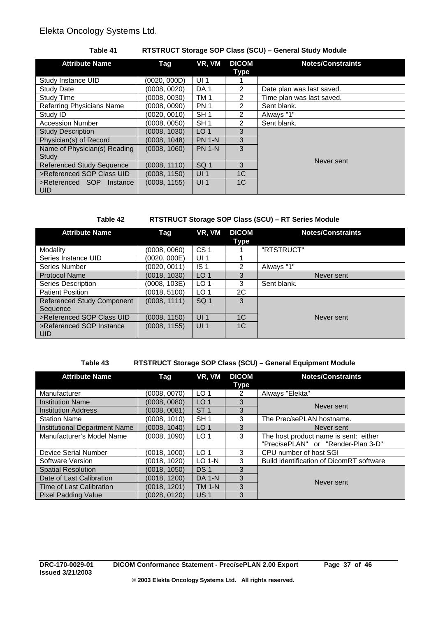## **Table 41 RTSTRUCT Storage SOP Class (SCU) – General Study Module**

| <b>Attribute Name</b>                     | Tag          | VR, VM          | <b>DICOM</b><br>Type | <b>Notes/Constraints</b>  |
|-------------------------------------------|--------------|-----------------|----------------------|---------------------------|
| Study Instance UID                        | (0020, 000D) | UI <sub>1</sub> |                      |                           |
| <b>Study Date</b>                         | (0008, 0020) | DA <sub>1</sub> | $\overline{2}$       | Date plan was last saved. |
| <b>Study Time</b>                         | (0008, 0030) | TM <sub>1</sub> | 2                    | Time plan was last saved. |
| Referring Physicians Name                 | (0008, 0090) | PN <sub>1</sub> | 2                    | Sent blank.               |
| Study ID                                  | (0020, 0010) | SH <sub>1</sub> | $\overline{2}$       | Always "1"                |
| <b>Accession Number</b>                   | (0008, 0050) | SH <sub>1</sub> | 2                    | Sent blank.               |
| <b>Study Description</b>                  | (0008, 1030) | LO <sub>1</sub> | 3                    |                           |
| Physician(s) of Record                    | (0008, 1048) | <b>PN 1-N</b>   | 3                    |                           |
| Name of Physician(s) Reading              | (0008, 1060) | <b>PN 1-N</b>   | 3                    |                           |
| Study                                     |              |                 |                      | Never sent                |
| <b>Referenced Study Sequence</b>          | (0008, 1110) | SQ <sub>1</sub> | 3                    |                           |
| >Referenced SOP Class UID                 | (0008, 1150) | UI <sub>1</sub> | 1 <sup>C</sup>       |                           |
| >Referenced SOP<br>Instance<br><b>UID</b> | (0008, 1155) | UI <sub>1</sub> | 1 <sup>C</sup>       |                           |

**Table 42 RTSTRUCT Storage SOP Class (SCU) – RT Series Module**

| <b>Attribute Name</b>             | Tag          | VR, VM          | <b>DICOM</b>   | <b>Notes/Constraints</b> |
|-----------------------------------|--------------|-----------------|----------------|--------------------------|
|                                   |              |                 | Type           |                          |
| Modality                          | (0008, 0060) | CS <sub>1</sub> |                | "RTSTRUCT"               |
| Series Instance UID               | (0020, 000E) | UI <sub>1</sub> |                |                          |
| Series Number                     | (0020, 0011) | IS <sub>1</sub> | 2              | Always "1"               |
| <b>Protocol Name</b>              | (0018, 1030) | LO <sub>1</sub> | 3              | Never sent               |
| <b>Series Description</b>         | (0008, 103E) | LO <sub>1</sub> | 3              | Sent blank.              |
| <b>Patient Position</b>           | (0018, 5100) | LO <sub>1</sub> | 2C             |                          |
| <b>Referenced Study Component</b> | (0008, 1111) | SQ <sub>1</sub> | 3              |                          |
| Sequence                          |              |                 |                |                          |
| >Referenced SOP Class UID         | (0008, 1150) | UI <sub>1</sub> | 1 <sup>C</sup> | Never sent               |
| >Referenced SOP Instance          | (0008, 1155) | UI <sub>1</sub> | 1 <sup>C</sup> |                          |
| <b>UID</b>                        |              |                 |                |                          |

## **Table 43 RTSTRUCT Storage SOP Class (SCU) – General Equipment Module**

| <b>Attribute Name</b>                | Tag          | VR, VM          | <b>DICOM</b><br>Type | <b>Notes/Constraints</b>                    |
|--------------------------------------|--------------|-----------------|----------------------|---------------------------------------------|
| Manufacturer                         | (0008, 0070) | LO <sub>1</sub> | 2                    | Always "Elekta"                             |
| <b>Institution Name</b>              | (0008, 0080) | LO <sub>1</sub> | 3                    | Never sent                                  |
| <b>Institution Address</b>           | (0008, 0081) | ST <sub>1</sub> | 3                    |                                             |
| <b>Station Name</b>                  | (0008, 1010) | SH <sub>1</sub> | 3                    | The Prec <i>i</i> sePLAN hostname.          |
| <b>Institutional Department Name</b> | (0008, 1040) | LO <sub>1</sub> | 3                    | Never sent                                  |
| Manufacturer's Model Name            | (0008, 1090) | LO <sub>1</sub> | 3                    | The host product name is sent: either       |
|                                      |              |                 |                      | "Prec <i>i</i> sePLAN" or "Render-Plan 3-D" |
| Device Serial Number                 | (0018, 1000) | LO <sub>1</sub> | 3                    | CPU number of host SGI                      |
| Software Version                     | (0018, 1020) | $LO$ 1- $N$     | 3                    | Build identification of DicomRT software    |
| <b>Spatial Resolution</b>            | (0018, 1050) | DS <sub>1</sub> | 3                    |                                             |
| Date of Last Calibration             | (0018, 1200) | <b>DA 1-N</b>   | 3                    | Never sent                                  |
| Time of Last Calibration             | (0018, 1201) | <b>TM 1-N</b>   | 3                    |                                             |
| <b>Pixel Padding Value</b>           | (0028, 0120) | US <sub>1</sub> | 3                    |                                             |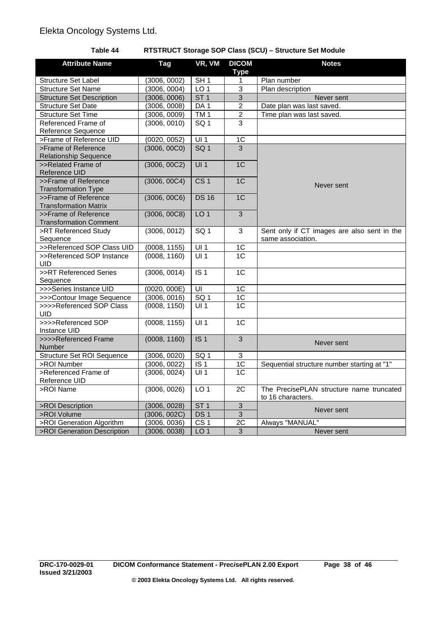## **Table 44 RTSTRUCT Storage SOP Class (SCU) – Structure Set Module**

| <b>Attribute Name</b>             | <b>Tag</b>                   | VR, VM            | <b>DICOM</b>     | <b>Notes</b>                                |
|-----------------------------------|------------------------------|-------------------|------------------|---------------------------------------------|
| <b>Structure Set Label</b>        |                              | SH1               | <b>Type</b>      | Plan number                                 |
| <b>Structure Set Name</b>         | (3006, 0002)<br>(3006, 0004) | LO <sub>1</sub>   | 1<br>3           | Plan description                            |
|                                   |                              | ST1               |                  |                                             |
| <b>Structure Set Description</b>  | (3006, 0006)                 |                   | 3                | Never sent                                  |
| <b>Structure Set Date</b>         | (3006, 0008)                 | DA <sub>1</sub>   | $\boldsymbol{2}$ | Date plan was last saved.                   |
| <b>Structure Set Time</b>         | (3006, 0009)                 | TM1               | $\overline{2}$   | Time plan was last saved.                   |
| Referenced Frame of               | (3006, 0010)                 | SQ <sub>1</sub>   | 3                |                                             |
| Reference Sequence                |                              |                   |                  |                                             |
| >Frame of Reference UID           | (0020, 0052)                 | UI1               | $\overline{1C}$  |                                             |
| >Frame of Reference               | (3006, 00C0)                 | SG <sub>1</sub>   | 3                |                                             |
| <b>Relationship Sequence</b>      |                              |                   |                  |                                             |
| >>Related Frame of                | (3006, 00C2)                 | UI1               | 1C               |                                             |
| Reference UID                     |                              |                   |                  |                                             |
| >>Frame of Reference              | (3006, 00C4)                 | CS <sub>1</sub>   | 1 <sub>C</sub>   | Never sent                                  |
| <b>Transformation Type</b>        |                              |                   |                  |                                             |
| >>Frame of Reference              | (3006, 00C6)                 | <b>DS 16</b>      | 1 <sub>C</sub>   |                                             |
| <b>Transformation Matrix</b>      |                              |                   |                  |                                             |
| >>Frame of Reference              | (3006, 00C8)                 | LO <sub>1</sub>   | 3                |                                             |
| <b>Transformation Comment</b>     |                              |                   |                  |                                             |
| >RT Referenced Study              | (3006, 0012)                 | SQ <sub>1</sub>   | 3                | Sent only if CT images are also sent in the |
| Sequence                          |                              |                   |                  | same association.                           |
| >>Referenced SOP Class UID        | (0008, 1155)                 | $\overline{UI1}$  | $\overline{1C}$  |                                             |
| >>Referenced SOP Instance         | (0008, 1160)                 | UI1               | $\overline{1C}$  |                                             |
| UID                               |                              |                   |                  |                                             |
| >>RT Referenced Series            | (3006, 0014)                 | $\overline{1S}$ 1 | 1 <sub>C</sub>   |                                             |
| Sequence                          |                              |                   |                  |                                             |
| >>>Series Instance UID            | (0020, 000E)                 | UI                | 1 <sup>C</sup>   |                                             |
| >>>Contour Image Sequence         | (3006, 0016)                 | SG <sub>1</sub>   | $\overline{1C}$  |                                             |
| >>>>Referenced SOP Class          | (0008, 1150)                 | UI1               | 1 <sub>C</sub>   |                                             |
| UID                               |                              |                   |                  |                                             |
| >>>>Referenced SOP                | (0008, 1155)                 | $\overline{UI1}$  | 1 <sub>C</sub>   |                                             |
| Instance UID                      |                              |                   |                  |                                             |
| >>>>Referenced Frame              | (0008, 1160)                 | IS <sub>1</sub>   | $\overline{3}$   | Never sent                                  |
| Number                            |                              |                   |                  |                                             |
| <b>Structure Set ROI Sequence</b> | (3006, 0020)                 | SQ <sub>1</sub>   | $\mathbf{3}$     |                                             |
| >ROI Number                       | (3006, 0022)                 | $\overline{1S}$ 1 | 1C               | Sequential structure number starting at "1" |
| >Referenced Frame of              | (3006, 0024)                 | UI1               | 1C               |                                             |
| Reference UID                     |                              |                   |                  |                                             |
| >ROI Name                         | (3006, 0026)                 | LO <sub>1</sub>   | $\overline{2C}$  | The PrecisePLAN structure name truncated    |
|                                   |                              |                   |                  | to 16 characters.                           |
| >ROI Description                  | (3006, 0028)                 | ST <sub>1</sub>   | 3                |                                             |
| >ROI Volume                       | (3006, 002C)                 | DS <sub>1</sub>   | $\overline{3}$   | Never sent                                  |
| >ROI Generation Algorithm         | (3006, 0036)                 | CS <sub>1</sub>   | 2C               | Always "MANUAL"                             |
| >ROI Generation Description       | (3006, 0038)                 | LO <sub>1</sub>   | 3                | Never sent                                  |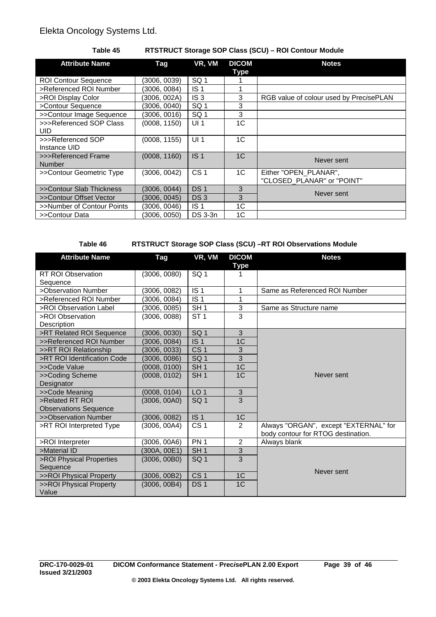## **Table 45 RTSTRUCT Storage SOP Class (SCU) – ROI Contour Module**

| <b>Attribute Name</b>             | Tag          | VR, VM          | <b>DICOM</b><br>Type | <b>Notes</b>                                        |  |
|-----------------------------------|--------------|-----------------|----------------------|-----------------------------------------------------|--|
| <b>ROI Contour Sequence</b>       | (3006, 0039) | SQ <sub>1</sub> |                      |                                                     |  |
| >Referenced ROI Number            | (3006, 0084) | IS <sub>1</sub> |                      |                                                     |  |
| >ROI Display Color                | (3006, 002A) | IS <sub>3</sub> | 3                    | RGB value of colour used by PrecisePLAN             |  |
| >Contour Sequence                 | (3006, 0040) | SQ <sub>1</sub> | 3                    |                                                     |  |
| >>Contour Image Sequence          | (3006, 0016) | SQ <sub>1</sub> | 3                    |                                                     |  |
| >>>Referenced SOP Class<br>UID.   | (0008, 1150) | UI <sub>1</sub> | 1C                   |                                                     |  |
| >>>Referenced SOP<br>Instance UID | (0008, 1155) | UI <sub>1</sub> | 1C                   |                                                     |  |
| >>>Referenced Frame<br>Number     | (0008, 1160) | IS <sub>1</sub> | 1 <sup>C</sup>       | Never sent                                          |  |
| >>Contour Geometric Type          | (3006, 0042) | CS <sub>1</sub> | 1 <sup>C</sup>       | Either "OPEN PLANAR",<br>"CLOSED_PLANAR" or "POINT" |  |
| >>Contour Slab Thickness          | (3006, 0044) | DS <sub>1</sub> | 3                    |                                                     |  |
| >>Contour Offset Vector           | (3006, 0045) | DS <sub>3</sub> | 3                    | Never sent                                          |  |
| >>Number of Contour Points        | (3006, 0046) | IS <sub>1</sub> | 1C                   |                                                     |  |
| >>Contour Data                    | (3006, 0050) | <b>DS 3-3n</b>  | 1C                   |                                                     |  |

### **Table 46 RTSTRUCT Storage SOP Class (SCU) –RT ROI Observations Module**

| <b>Attribute Name</b>        | Tag          | VR, VM          | <b>DICOM</b>   | <b>Notes</b>                          |
|------------------------------|--------------|-----------------|----------------|---------------------------------------|
|                              |              |                 | <b>Type</b>    |                                       |
| <b>RT ROI Observation</b>    | (3006, 0080) | SQ <sub>1</sub> | 1              |                                       |
| Sequence                     |              |                 |                |                                       |
| >Observation Number          | (3006, 0082) | IS <sub>1</sub> | 1              | Same as Referenced ROI Number         |
| >Referenced ROI Number       | (3006, 0084) | IS <sub>1</sub> | 1              |                                       |
| >ROI Observation Label       | (3006, 0085) | SH <sub>1</sub> | 3              | Same as Structure name                |
| >ROI Observation             | (3006, 0088) | ST <sub>1</sub> | 3              |                                       |
| Description                  |              |                 |                |                                       |
| >RT Related ROI Sequence     | (3006, 0030) | SQ <sub>1</sub> | 3              |                                       |
| >>Referenced ROI Number      | (3006, 0084) | IS <sub>1</sub> | 1 <sup>C</sup> |                                       |
| >>RT ROI Relationship        | (3006, 0033) | CS <sub>1</sub> | 3              |                                       |
| >RT ROI Identification Code  | (3006, 0086) | SQ <sub>1</sub> | 3              |                                       |
| >>Code Value                 | (0008, 0100) | SH <sub>1</sub> | 1 <sup>C</sup> |                                       |
| >>Coding Scheme              | (0008, 0102) | SH <sub>1</sub> | 1C             | Never sent                            |
| Designator                   |              |                 |                |                                       |
| >>Code Meaning               | (0008, 0104) | LO <sub>1</sub> | 3              |                                       |
| >Related RT ROI              | (3006, 00A0) | SQ <sub>1</sub> | $\overline{3}$ |                                       |
| <b>Observations Sequence</b> |              |                 |                |                                       |
| >>Observation Number         | (3006, 0082) | IS <sub>1</sub> | 1C             |                                       |
| >RT ROI Interpreted Type     | (3006, 00A4) | CS <sub>1</sub> | $\overline{2}$ | Always "ORGAN", except "EXTERNAL" for |
|                              |              |                 |                | body contour for RTOG destination.    |
| >ROI Interpreter             | (3006, 00A6) | PN <sub>1</sub> | $\overline{2}$ | Always blank                          |
| >Material ID                 | (300A, 00E1) | SH <sub>1</sub> | 3              |                                       |
| >ROI Physical Properties     | (3006, 00B0) | SQ <sub>1</sub> | 3              |                                       |
| Sequence                     |              |                 |                | Never sent                            |
| >>ROI Physical Property      | (3006, 00B2) | CS <sub>1</sub> | 1C             |                                       |
| >>ROI Physical Property      | (3006, 00B4) | DS <sub>1</sub> | 1C             |                                       |
| Value                        |              |                 |                |                                       |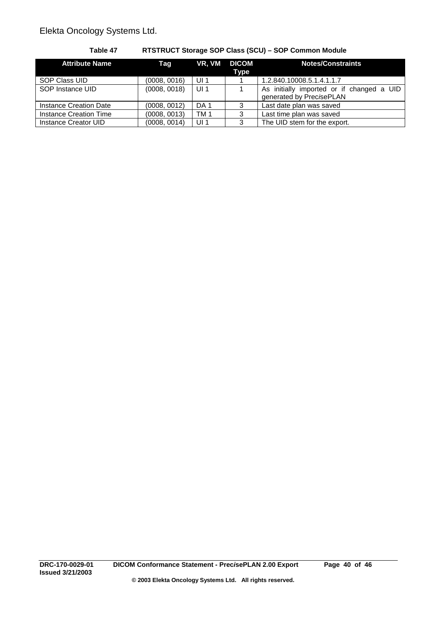| <b>Attribute Name</b>  | Taq          | VR, VM          | <b>DICOM</b><br><b>Type</b> | <b>Notes/Constraints</b>                                              |
|------------------------|--------------|-----------------|-----------------------------|-----------------------------------------------------------------------|
| SOP Class UID          | (0008, 0016) | UI <sub>1</sub> |                             | 1.2.840.10008.5.1.4.1.1.7                                             |
| SOP Instance UID       | (0008, 0018) | UI <sub>1</sub> |                             | As initially imported or if changed a UID<br>generated by PrecisePLAN |
| Instance Creation Date | (0008, 0012) | DA 1            | 3                           | Last date plan was saved                                              |
| Instance Creation Time | (0008, 0013) | TM <sub>1</sub> | 3                           | Last time plan was saved                                              |
| Instance Creator UID   | (0008, 0014) | UI <sub>1</sub> | 3                           | The UID stem for the export.                                          |

## **Table 47 RTSTRUCT Storage SOP Class (SCU) – SOP Common Module**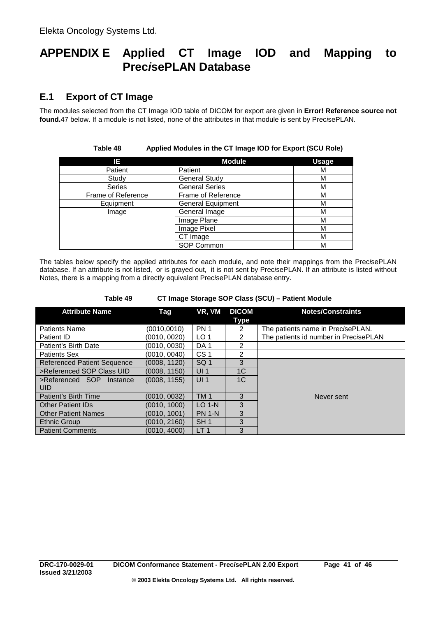# **APPENDIX E Applied CT Image IOD and Mapping to Prec***i***sePLAN Database**

# **E.1 Export of CT Image**

The modules selected from the CT Image IOD table of DICOM for export are given in **Error! Reference source not found.**47 below. If a module is not listed, none of the attributes in that module is sent by Prec*i*sePLAN.

**Table 48 Applied Modules in the CT Image IOD for Export (SCU Role)**

| IE.                | <b>Module</b>            | <b>Usage</b> |
|--------------------|--------------------------|--------------|
| Patient            | Patient                  | М            |
| Study              | <b>General Study</b>     | М            |
| <b>Series</b>      | <b>General Series</b>    | М            |
| Frame of Reference | Frame of Reference       | М            |
| Equipment          | <b>General Equipment</b> | М            |
| Image              | General Image            | М            |
|                    | Image Plane              | М            |
|                    | Image Pixel              | М            |
|                    | CT Image                 | м            |
|                    | SOP Common               | М            |

The tables below specify the applied attributes for each module, and note their mappings from the Prec*i*sePLAN database. If an attribute is not listed, or is grayed out, it is not sent by Prec*i*sePLAN. If an attribute is listed without Notes, there is a mapping from a directly equivalent Prec*i*sePLAN database entry.

| <b>Attribute Name</b>                     | Taq          | VR, VM          | <b>DICOM</b><br>Type | <b>Notes/Constraints</b>              |
|-------------------------------------------|--------------|-----------------|----------------------|---------------------------------------|
| <b>Patients Name</b>                      | (0010, 0010) | <b>PN 1</b>     | 2                    | The patients name in PrecisePLAN.     |
| Patient ID                                | (0010, 0020) | LO <sub>1</sub> | $\mathcal{P}$        | The patients id number in PrecisePLAN |
| Patient's Birth Date                      | (0010, 0030) | DA <sub>1</sub> | $\mathcal{P}$        |                                       |
| <b>Patients Sex</b>                       | (0010, 0040) | CS <sub>1</sub> | 2                    |                                       |
| <b>Referenced Patient Sequence</b>        | (0008, 1120) | SQ <sub>1</sub> | 3                    |                                       |
| >Referenced SOP Class UID                 | (0008, 1150) | UI <sub>1</sub> | 1 <sup>C</sup>       |                                       |
| >Referenced SOP<br>Instance<br><b>UID</b> | (0008, 1155) | UI <sub>1</sub> | 1 <sup>C</sup>       |                                       |
| Patient's Birth Time                      | (0010, 0032) | <b>TM1</b>      | 3                    | Never sent                            |
| <b>Other Patient IDs</b>                  | (0010, 1000) | $LO$ 1-N        | 3                    |                                       |
| <b>Other Patient Names</b>                | (0010, 1001) | <b>PN 1-N</b>   | 3                    |                                       |
| <b>Ethnic Group</b>                       | (0010, 2160) | SH <sub>1</sub> | 3                    |                                       |
| <b>Patient Comments</b>                   | (0010, 4000) | LT <sub>1</sub> | 3                    |                                       |

**Table 49 CT Image Storage SOP Class (SCU) – Patient Module**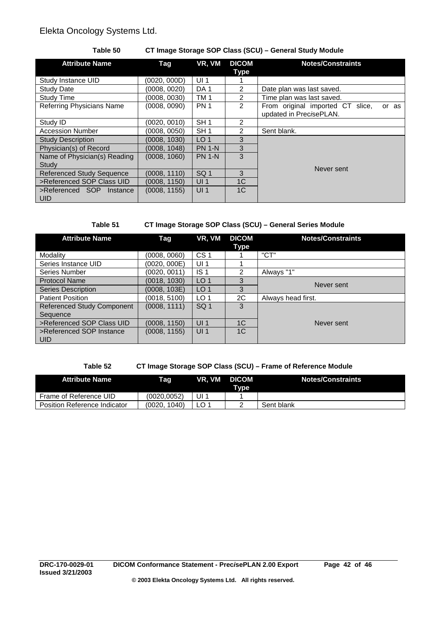## **Table 50 CT Image Storage SOP Class (SCU) – General Study Module**

| <b>Attribute Name</b>                     | Tag           | VR, VM          | <b>DICOM</b><br>Type | <b>Notes/Constraints</b>                                             |
|-------------------------------------------|---------------|-----------------|----------------------|----------------------------------------------------------------------|
| Study Instance UID                        | (0020, 000D)  | UI <sub>1</sub> |                      |                                                                      |
| <b>Study Date</b>                         | (0008, 0020)  | DA <sub>1</sub> | 2                    | Date plan was last saved.                                            |
| <b>Study Time</b>                         | (0008, 0030)  | TM <sub>1</sub> | 2                    | Time plan was last saved.                                            |
| <b>Referring Physicians Name</b>          | (0008, 0090)  | <b>PN 1</b>     | 2                    | From original imported CT slice,<br>or as<br>updated in PrecisePLAN. |
| Study ID                                  | (0020, 0010)  | SH <sub>1</sub> | 2                    |                                                                      |
| <b>Accession Number</b>                   | (0008, 0050)  | SH <sub>1</sub> | 2                    | Sent blank.                                                          |
| <b>Study Description</b>                  | (0008, 1030). | LO <sub>1</sub> | 3                    |                                                                      |
| Physician(s) of Record                    | (0008, 1048)  | <b>PN 1-N</b>   | 3                    |                                                                      |
| Name of Physician(s) Reading<br>Study     | (0008, 1060)  | <b>PN 1-N</b>   | 3                    | Never sent                                                           |
| <b>Referenced Study Sequence</b>          | (0008, 1110)  | SQ <sub>1</sub> | 3                    |                                                                      |
| >Referenced SOP Class UID                 | (0008, 1150)  | UI <sub>1</sub> | 1 <sup>C</sup>       |                                                                      |
| >Referenced SOP<br>Instance<br><b>UID</b> | (0008, 1155)  | UI <sub>1</sub> | 1 <sup>C</sup>       |                                                                      |

## **Table 51 CT Image Storage SOP Class (SCU) – General Series Module**

| <b>Attribute Name</b>                  | Tag          | VR, VM          | <b>DICOM</b>   | <b>Notes/Constraints</b> |
|----------------------------------------|--------------|-----------------|----------------|--------------------------|
|                                        |              |                 | Type           |                          |
| Modality                               | (0008, 0060) | CS <sub>1</sub> |                | "CT"                     |
| Series Instance UID                    | (0020, 000E) | UI <sub>1</sub> |                |                          |
| Series Number                          | (0020, 0011) | IS <sub>1</sub> | 2              | Always "1"               |
| <b>Protocol Name</b>                   | (0018, 1030) | LO <sub>1</sub> | 3              | Never sent               |
| <b>Series Description</b>              | (0008, 103E) | LO <sub>1</sub> | 3              |                          |
| <b>Patient Position</b>                | (0018, 5100) | LO <sub>1</sub> | 2C             | Always head first.       |
| <b>Referenced Study Component</b>      | (0008, 1111) | SQ <sub>1</sub> | 3              |                          |
| Sequence                               |              |                 |                |                          |
| >Referenced SOP Class UID              | (0008, 1150) | UI1             | 1 <sup>C</sup> | Never sent               |
| >Referenced SOP Instance<br><b>UID</b> | (0008, 1155) | UI <sub>1</sub> | 1 <sup>C</sup> |                          |

## **Table 52 CT Image Storage SOP Class (SCU) – Frame of Reference Module**

| <b>Attribute Name</b>               | Taq            | VR, VM DICOM | Tvpe | <b>Notes/Constraints</b> |
|-------------------------------------|----------------|--------------|------|--------------------------|
| Frame of Reference UID              | (0020, 0052)   | UI           |      |                          |
| <b>Position Reference Indicator</b> | 1040<br>'0020. |              |      | Sent blank               |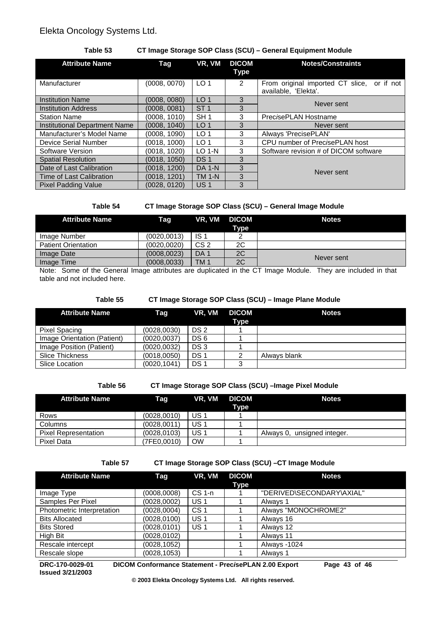### **Table 53 CT Image Storage SOP Class (SCU) – General Equipment Module**

| <b>Attribute Name</b>         | Tag          | VR, VM          | <b>DICOM</b><br>Type | <b>Notes/Constraints</b>                                           |
|-------------------------------|--------------|-----------------|----------------------|--------------------------------------------------------------------|
| Manufacturer                  | (0008, 0070) | LO <sub>1</sub> | 2                    | From original imported CT slice, or if not<br>available, 'Elekta'. |
| <b>Institution Name</b>       | (0008, 0080) | LO <sub>1</sub> | 3                    | Never sent                                                         |
| <b>Institution Address</b>    | (0008, 0081) | ST <sub>1</sub> | 3                    |                                                                    |
| <b>Station Name</b>           | (0008, 1010) | SH <sub>1</sub> | 3                    | PrecisePLAN Hostname                                               |
| Institutional Department Name | (0008, 1040) | LO <sub>1</sub> | 3                    | Never sent                                                         |
| Manufacturer's Model Name     | (0008, 1090) | LO <sub>1</sub> | 3                    | Always 'PrecisePLAN'                                               |
| Device Serial Number          | (0018, 1000) | LO <sub>1</sub> | 3                    | CPU number of PrecisePLAN host                                     |
| Software Version              | (0018, 1020) | $LO$ 1-N        | 3                    | Software revision # of DICOM software                              |
| <b>Spatial Resolution</b>     | (0018, 1050) | DS <sub>1</sub> | 3                    |                                                                    |
| Date of Last Calibration      | (0018, 1200) | <b>DA 1-N</b>   | 3                    | Never sent                                                         |
| Time of Last Calibration      | (0018, 1201) | <b>TM 1-N</b>   | 3                    |                                                                    |
| <b>Pixel Padding Value</b>    | (0028.0120)  | US <sub>1</sub> | 3                    |                                                                    |

## **Table 54 CT Image Storage SOP Class (SCU) – General Image Module**

| <b>Attribute Name</b>      | Taq          | VR, VM DICOM    | <b>Type</b> | <b>Notes</b> |
|----------------------------|--------------|-----------------|-------------|--------------|
| Image Number               | (0020,0013)  | IS <sub>1</sub> |             |              |
| <b>Patient Orientation</b> | (0020,0020)  | CS <sub>2</sub> | 2C          |              |
| Image Date                 | (0008, 0023) | DA <sub>1</sub> | 2C          | Never sent   |
| Image Time                 | (0008, 0033) | TM <sub>1</sub> | 2C          |              |

Note: Some of the General Image attributes are duplicated in the CT Image Module. They are included in that table and not included here.

#### **Table 55 CT Image Storage SOP Class (SCU) – Image Plane Module**

| <b>Attribute Name</b>       | Taq          | VR. VM          | <b>DICOM</b><br>Type | <b>Notes</b> |
|-----------------------------|--------------|-----------------|----------------------|--------------|
| Pixel Spacing               | (0028, 0030) | DS <sub>2</sub> |                      |              |
| Image Orientation (Patient) | (0020, 0037) | DS <sub>6</sub> |                      |              |
| Image Position (Patient)    | (0020, 0032) | DS <sub>3</sub> |                      |              |
| <b>Slice Thickness</b>      | (0018, 0050) | DS <sub>1</sub> |                      | Always blank |
| Slice Location              | (0020, 1041) | DS <sub>1</sub> |                      |              |

### **Table 56 CT Image Storage SOP Class (SCU) –Image Pixel Module**

| <b>Attribute Name</b>       | Taq          | VR. VM          | <b>DICOM</b><br><b>Type</b> | <b>Notes</b>                |
|-----------------------------|--------------|-----------------|-----------------------------|-----------------------------|
| Rows                        | (0028, 0010) | US <sub>1</sub> |                             |                             |
| <b>Columns</b>              | (0028, 0011) | US <sub>1</sub> |                             |                             |
| <b>Pixel Representation</b> | (0028, 0103) | US <sub>1</sub> |                             | Always 0, unsigned integer. |
| Pixel Data                  | (7FE0,0010)  | <b>OW</b>       |                             |                             |

#### **Table 57 CT Image Storage SOP Class (SCU) –CT Image Module**

| <b>Attribute Name</b>      | Tag          | VR, VM          | <b>DICOM</b><br>Type | <b>Notes</b>              |
|----------------------------|--------------|-----------------|----------------------|---------------------------|
| Image Type                 | (0008,0008)  | $CS1-n$         |                      | "DERIVED\SECONDARY\AXIAL" |
| Samples Per Pixel          | (0028, 0002) | US <sub>1</sub> |                      | Always 1                  |
| Photometric Interpretation | (0028, 0004) | CS <sub>1</sub> |                      | Always "MONOCHROME2"      |
| <b>Bits Allocated</b>      | (0028, 0100) | US <sub>1</sub> |                      | Always 16                 |
| <b>Bits Stored</b>         | (0028, 0101) | US <sub>1</sub> |                      | Always 12                 |
| High Bit                   | (0028, 0102) |                 |                      | Always 11                 |
| Rescale intercept          | (0028, 1052) |                 |                      | Always -1024              |
| Rescale slope              | (0028, 1053) |                 |                      | Always 1                  |

**Issued 3/21/2003**

**DRC-170-0029-01 DICOM Conformance Statement - Prec***i***sePLAN 2.00 Export Page 43 of 46**

**© 2003 Elekta Oncology Systems Ltd. All rights reserved.**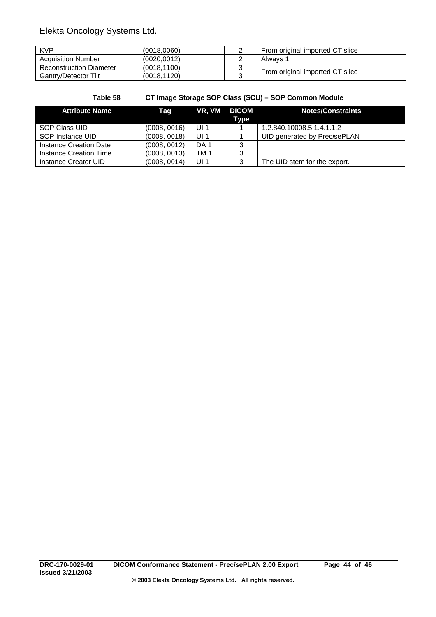| <b>KVP</b>                     | (0018.0060) | From original imported CT slice |
|--------------------------------|-------------|---------------------------------|
| <b>Acquisition Number</b>      | (0020.0012) | Alwavs 1                        |
| <b>Reconstruction Diameter</b> | (0018.1100) |                                 |
| Gantry/Detector Tilt           | (0018.1120) | From original imported CT slice |

| Table 58 | CT Image Storage SOP Class (SCU) - SOP Common Module |  |  |  |
|----------|------------------------------------------------------|--|--|--|
|          |                                                      |  |  |  |

| <b>Attribute Name</b>  | Taq          |                 | VR. VM DICOM | Notes/Constraints            |
|------------------------|--------------|-----------------|--------------|------------------------------|
|                        |              |                 | Type         |                              |
| SOP Class UID          | (0008, 0016) | UI <sub>1</sub> |              | 1.2.840.10008.5.1.4.1.1.2    |
| SOP Instance UID       | (0008, 0018) | UI 1            |              | UID generated by PrecisePLAN |
| Instance Creation Date | (0008, 0012) | DA <sub>1</sub> | 3            |                              |
| Instance Creation Time | (0008, 0013) | TM 1            | 3            |                              |
| Instance Creator UID   | (0008, 0014) | UI <sub>1</sub> | 2            | The UID stem for the export. |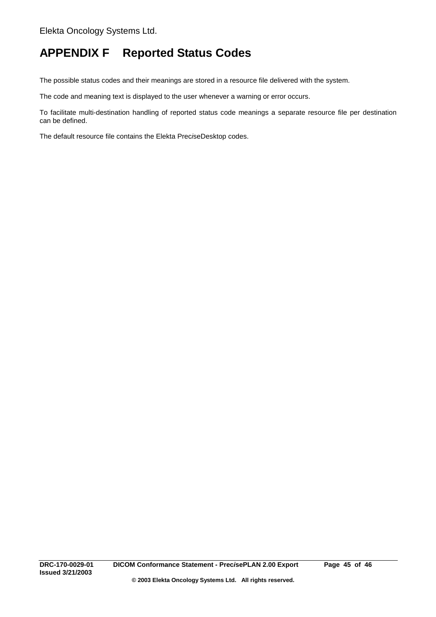# **APPENDIX F Reported Status Codes**

The possible status codes and their meanings are stored in a resource file delivered with the system.

The code and meaning text is displayed to the user whenever a warning or error occurs.

To facilitate multi-destination handling of reported status code meanings a separate resource file per destination can be defined.

The default resource file contains the Elekta Prec*i*seDesktop codes.